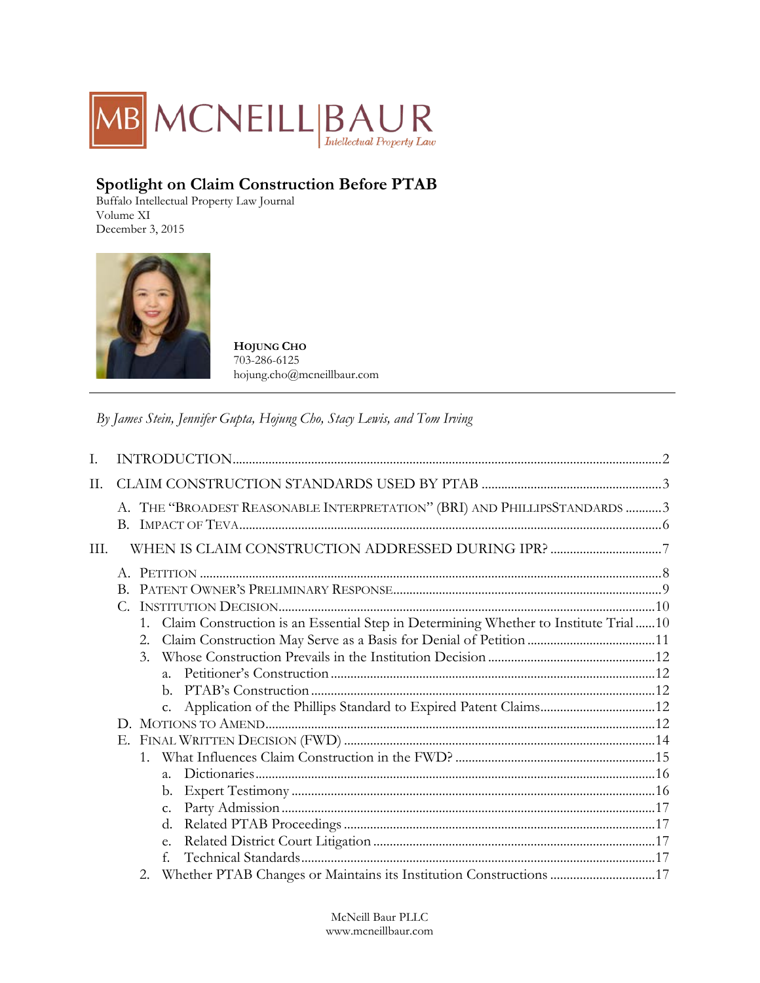

# **Spotlight on Claim Construction Before PTAB**

Buffalo Intellectual Property Law Journal Volume XI December 3, 2015



**HOJUNG CHO** 703-286-6125 hojung.cho@mcneillbaur.com

*By James Stein, Jennifer Gupta, Hojung Cho, Stacy Lewis, and Tom Irving*

| T.   |             |                  |                                                                                        |  |
|------|-------------|------------------|----------------------------------------------------------------------------------------|--|
| П.   |             |                  |                                                                                        |  |
|      |             |                  | A. THE "BROADEST REASONABLE INTERPRETATION" (BRI) AND PHILLIPSSTANDARDS 3              |  |
| III. |             |                  |                                                                                        |  |
|      |             |                  |                                                                                        |  |
|      |             |                  |                                                                                        |  |
|      | $C_{\cdot}$ |                  | $\textit{INSTITUTION}\ \textit{DECISION}.\textit{}}\textit{10}$                        |  |
|      |             |                  | 1. Claim Construction is an Essential Step in Determining Whether to Institute Trial10 |  |
|      |             | 2.               |                                                                                        |  |
|      |             | $\mathfrak{Z}$ . |                                                                                        |  |
|      |             |                  |                                                                                        |  |
|      |             | b.               |                                                                                        |  |
|      |             | C <sub>1</sub>   |                                                                                        |  |
|      |             |                  |                                                                                        |  |
|      |             |                  |                                                                                        |  |
|      |             |                  |                                                                                        |  |
|      |             | $a_{\cdot}$      |                                                                                        |  |
|      |             | b.               |                                                                                        |  |
|      |             | c.               |                                                                                        |  |
|      |             | d.               |                                                                                        |  |
|      |             | e.               |                                                                                        |  |
|      |             | f.               |                                                                                        |  |
|      |             | 2.               | Whether PTAB Changes or Maintains its Institution Constructions 17                     |  |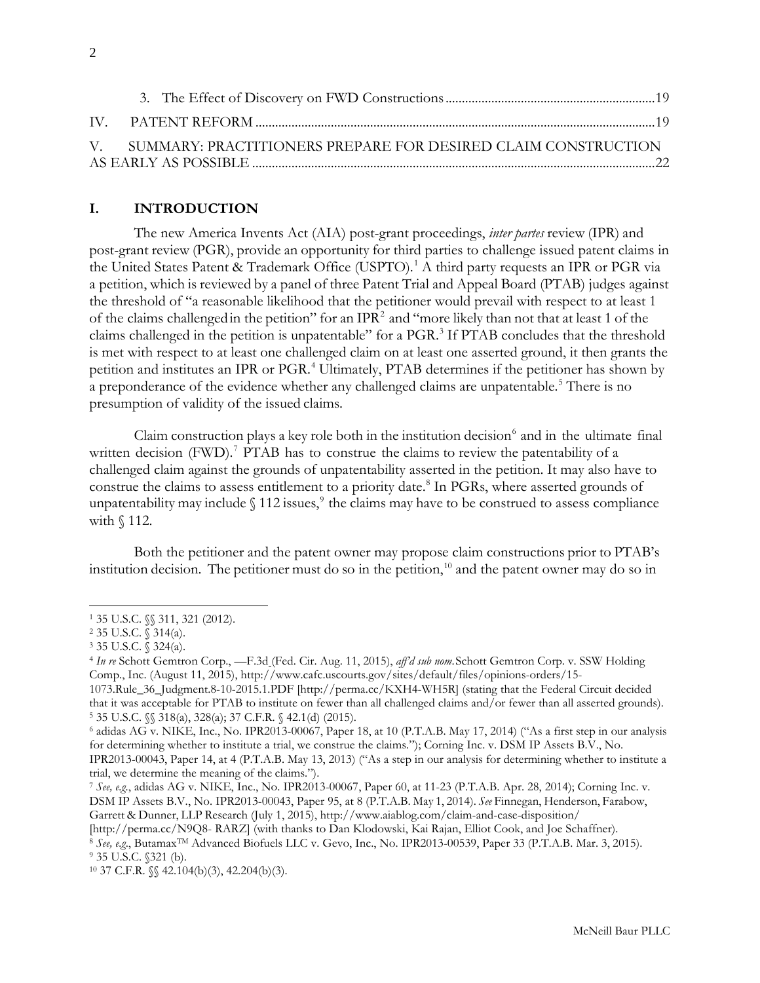| V. SUMMARY: PRACTITIONERS PREPARE FOR DESIRED CLAIM CONSTRUCTION |  |
|------------------------------------------------------------------|--|
|                                                                  |  |

# <span id="page-1-0"></span>**I. INTRODUCTION**

The new America Invents Act (AIA) post-grant proceedings, *inter partes* review (IPR) and post-grant review (PGR), provide an opportunity for third parties to challenge issued patent claims in the United States Patent & Trademark Office (USPTO).<sup>[1](#page-1-1)</sup> A third party requests an IPR or PGR via a petition, which is reviewed by a panel of three Patent Trial and Appeal Board (PTAB) judges against the threshold of "a reasonable likelihood that the petitioner would prevail with respect to at least 1 of the claims challengedin the petition" for an IPR[2](#page-1-2) and "more likely than not that at least 1 of the claims challenged in the petition is unpatentable" for a PGR.<sup>[3](#page-1-3)</sup> If PTAB concludes that the threshold is met with respect to at least one challenged claim on at least one asserted ground, it then grants the petition and institutes an IPR or PGR.[4](#page-1-4) Ultimately, PTAB determines if the petitioner has shown by a preponderance of the evidence whether any challenged claims are unpatentable.<sup>[5](#page-1-5)</sup> There is no presumption of validity of the issued claims.

Claim construction plays a key role both in the institution decision $\delta$  and in the ultimate final written decision  $(FWD)$ .<sup>[7](#page-1-7)</sup> PTAB has to construe the claims to review the patentability of a challenged claim against the grounds of unpatentability asserted in the petition. It may also have to construe the claims to assess entitlement to a priority date.<sup>8</sup> In PGRs, where asserted grounds of unpatentability may include  $\S 112$  issues,<sup>[9](#page-1-9)</sup> the claims may have to be construed to assess compliance with § 112.

Both the petitioner and the patent owner may propose claim constructions prior to PTAB's institution decision. The petitioner must do so in the petition,<sup>[10](#page-1-10)</sup> and the patent owner may do so in

 $\overline{a}$ 

Garrett & Dunner, LLP Research (July 1, 2015),<http://www.aiablog.com/claim-and-case-disposition/>

[\[http://perma.cc/N9Q8-](http://perma.cc/N9Q8-) RARZ] (with thanks to Dan Klodowski, Kai Rajan, Elliot Cook, and Joe Schaffner).

<span id="page-1-1"></span><sup>1 35</sup> U.S.C. §§ 311, 321 (2012).

<span id="page-1-2"></span><sup>2</sup> 35 U.S.C. § 314(a).

<span id="page-1-3"></span><sup>3</sup> 35 U.S.C. § 324(a).

<span id="page-1-4"></span><sup>4</sup> *In re* Schott Gemtron Corp., —F.3d (Fed. Cir. Aug. 11, 2015), *aff'd sub nom*.Schott Gemtron Corp. v. SSW Holding Comp., Inc. (August 11, 2015), [http://www.cafc.uscourts.gov/sites/default/files/opinions-orders/15-](http://www.cafc.uscourts.gov/sites/default/files/opinions-orders/15-1073.Rule_36_Judgment.8-10-2015.1.PDF)

[<sup>1073.</sup>Rule\\_36\\_Judgment.8-10-2015.1.PDF \[](http://www.cafc.uscourts.gov/sites/default/files/opinions-orders/15-1073.Rule_36_Judgment.8-10-2015.1.PDF)[http://perma.cc/KXH4-WH5R\]](http://perma.cc/KXH4-WH5R) (stating that the Federal Circuit decided that it was acceptable for PTAB to institute on fewer than all challenged claims and/or fewer than all asserted grounds). <sup>5</sup> 35 U.S.C. §§ 318(a), 328(a); 37 C.F.R. § 42.1(d) (2015).

<span id="page-1-6"></span><span id="page-1-5"></span><sup>6</sup> adidas AG v. NIKE, Inc., No. IPR2013-00067, Paper 18, at 10 (P.T.A.B. May 17, 2014) ("As a first step in our analysis for determining whether to institute a trial, we construe the claims."); Corning Inc. v. DSM IP Assets B.V., No.

IPR2013-00043, Paper 14, at 4 (P.T.A.B. May 13, 2013) ("As a step in our analysis for determining whether to institute a trial, we determine the meaning of the claims.").

<span id="page-1-7"></span><sup>7</sup> *See, e.g.*, adidas AG v. NIKE, Inc., No. IPR2013-00067, Paper 60, at 11-23 (P.T.A.B. Apr. 28, 2014); Corning Inc. v. DSM IP Assets B.V., No. IPR2013-00043, Paper 95, at 8 (P.T.A.B. May 1, 2014). *See* Finnegan, Henderson, Farabow,

<span id="page-1-9"></span><span id="page-1-8"></span><sup>8</sup> *See, e.g*., ButamaxTM Advanced Biofuels LLC v. Gevo, Inc., No. IPR2013-00539, Paper 33 (P.T.A.B. Mar. 3, 2015). <sup>9</sup> 35 U.S.C. §321 (b).

<span id="page-1-10"></span><sup>10</sup> 37 C.F.R. §§ 42.104(b)(3), 42.204(b)(3).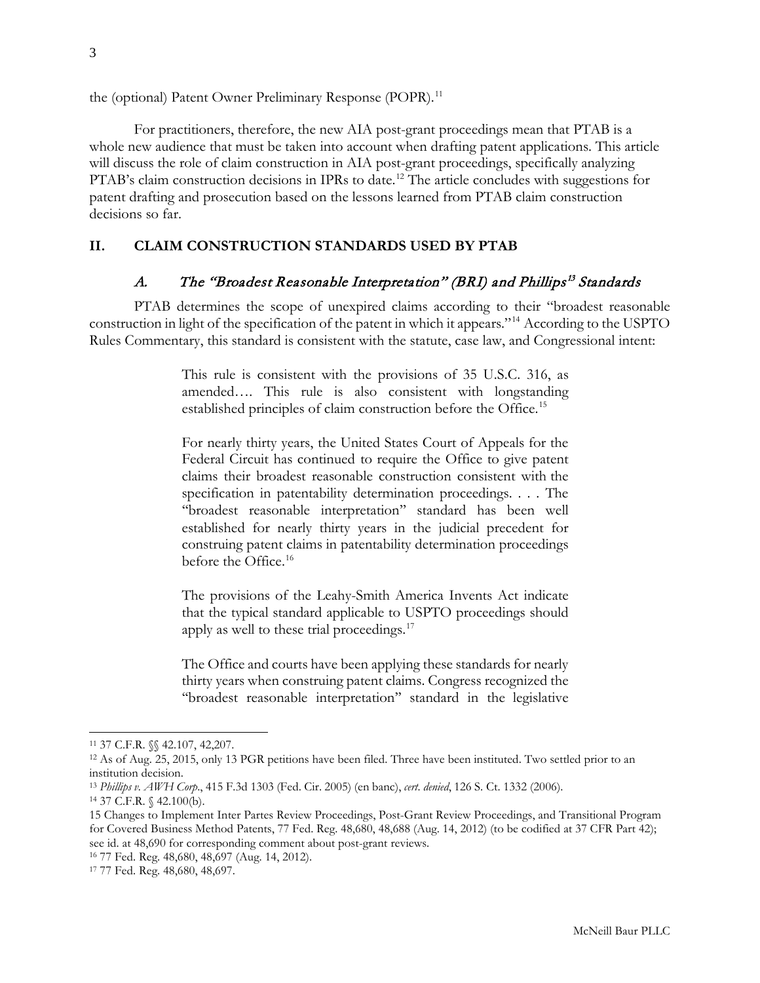the (optional) Patent Owner Preliminary Response (POPR).<sup>[11](#page-2-2)</sup>

For practitioners, therefore, the new AIA post-grant proceedings mean that PTAB is a whole new audience that must be taken into account when drafting patent applications. This article will discuss the role of claim construction in AIA post-grant proceedings, specifically analyzing PTAB's claim construction decisions in IPRs to date.<sup>[12](#page-2-3)</sup> The article concludes with suggestions for patent drafting and prosecution based on the lessons learned from PTAB claim construction decisions so far.

# <span id="page-2-0"></span>**II. CLAIM CONSTRUCTION STANDARDS USED BY PTAB**

# A. The "Broadest Reasonable Interpretation" (BRI) and Phillips<sup>[13](#page-2-4)</sup> Standards

<span id="page-2-1"></span>PTAB determines the scope of unexpired claims according to their "broadest reasonable construction in light of the specification of the patent in which it appears."[14](#page-2-5) According to the USPTO Rules Commentary, this standard is consistent with the statute, case law, and Congressional intent:

> This rule is consistent with the provisions of 35 U.S.C. 316, as amended…. This rule is also consistent with longstanding established principles of claim construction before the Office.<sup>[15](#page-2-6)</sup>

> For nearly thirty years, the United States Court of Appeals for the Federal Circuit has continued to require the Office to give patent claims their broadest reasonable construction consistent with the specification in patentability determination proceedings. . . . The "broadest reasonable interpretation" standard has been well established for nearly thirty years in the judicial precedent for construing patent claims in patentability determination proceedings before the Office.<sup>[16](#page-2-7)</sup>

> The provisions of the Leahy-Smith America Invents Act indicate that the typical standard applicable to USPTO proceedings should apply as well to these trial proceedings.<sup>[17](#page-2-8)</sup>

> The Office and courts have been applying these standards for nearly thirty years when construing patent claims. Congress recognized the ''broadest reasonable interpretation'' standard in the legislative

<span id="page-2-2"></span><sup>11</sup> 37 C.F.R. §§ 42.107, 42,207.

<span id="page-2-3"></span><sup>12</sup> As of Aug. 25, 2015, only 13 PGR petitions have been filed. Three have been instituted. Two settled prior to an institution decision.

<span id="page-2-4"></span><sup>13</sup> *Phillips v. AWH Corp*., 415 F.3d 1303 (Fed. Cir. 2005) (en banc), *cert. denied*, 126 S. Ct. 1332 (2006).

<span id="page-2-5"></span><sup>14</sup> 37 C.F.R. § 42.100(b).

<span id="page-2-6"></span><sup>15</sup> Changes to Implement Inter Partes Review Proceedings, Post-Grant Review Proceedings, and Transitional Program for Covered Business Method Patents, 77 Fed. Reg. 48,680, 48,688 (Aug. 14, 2012) (to be codified at 37 CFR Part 42); see id. at 48,690 for corresponding comment about post-grant reviews.

<span id="page-2-7"></span><sup>16</sup> 77 Fed. Reg. 48,680, 48,697 (Aug. 14, 2012).

<span id="page-2-8"></span><sup>17</sup> 77 Fed. Reg. 48,680, 48,697.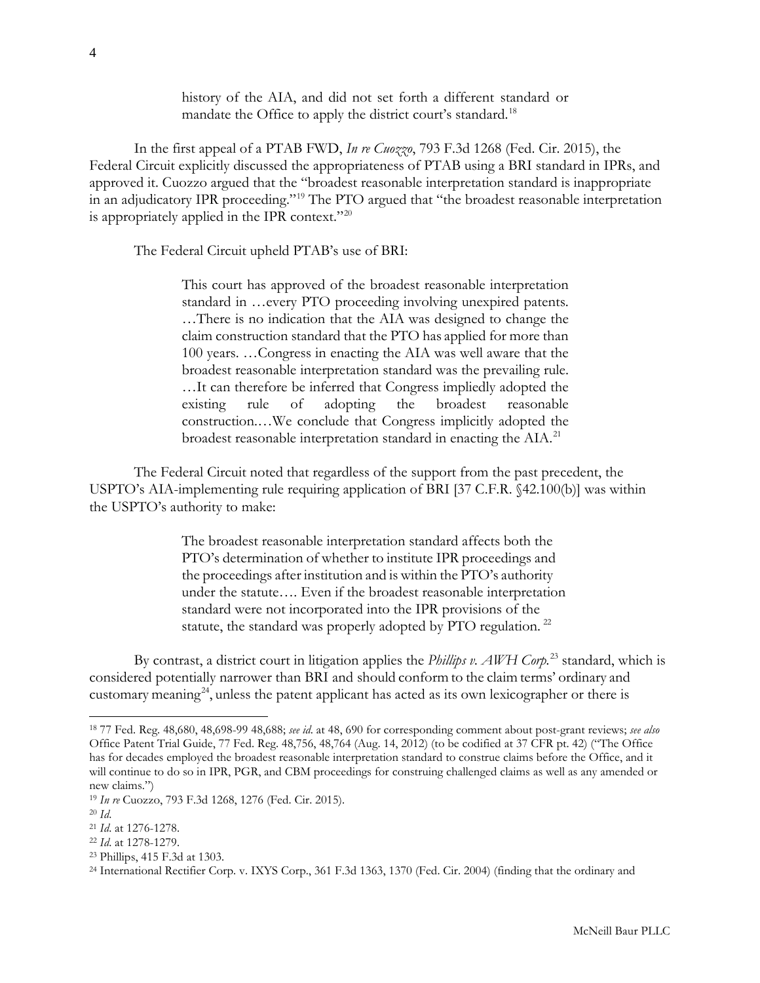history of the AIA, and did not set forth a different standard or mandate the Office to apply the district court's standard.<sup>[18](#page-3-0)</sup>

In the first appeal of a PTAB FWD, *In re Cuozzo*, 793 F.3d 1268 (Fed. Cir. 2015), the Federal Circuit explicitly discussed the appropriateness of PTAB using a BRI standard in IPRs, and approved it. Cuozzo argued that the "broadest reasonable interpretation standard is inappropriate in an adjudicatory IPR proceeding."[19](#page-3-1) The PTO argued that "the broadest reasonable interpretation is appropriately applied in the IPR context."<sup>[20](#page-3-2)</sup>

The Federal Circuit upheld PTAB's use of BRI:

This court has approved of the broadest reasonable interpretation standard in …every PTO proceeding involving unexpired patents. …There is no indication that the AIA was designed to change the claim construction standard that the PTO has applied for more than 100 years. …Congress in enacting the AIA was well aware that the broadest reasonable interpretation standard was the prevailing rule. …It can therefore be inferred that Congress impliedly adopted the existing rule of adopting the broadest reasonable construction.…We conclude that Congress implicitly adopted the broadest reasonable interpretation standard in enacting the AIA.<sup>[21](#page-3-3)</sup>

The Federal Circuit noted that regardless of the support from the past precedent, the USPTO's AIA-implementing rule requiring application of BRI [37 C.F.R. §42.100(b)] was within the USPTO's authority to make:

> The broadest reasonable interpretation standard affects both the PTO's determination of whether to institute IPR proceedings and the proceedings after institution and is within the PTO's authority under the statute…. Even if the broadest reasonable interpretation standard were not incorporated into the IPR provisions of the statute, the standard was properly adopted by PTO regulation.<sup>[22](#page-3-4)</sup>

By contrast, a district court in litigation applies the *Phillips v. AWH Corp.*[23](#page-3-5) standard, which is considered potentially narrower than BRI and should conform to the claim terms' ordinary and customary meaning<sup>24</sup>, unless the patent applicant has acted as its own lexicographer or there is

 $\overline{a}$ 

<span id="page-3-5"></span><sup>23</sup> Phillips, 415 F.3d at 1303.

<span id="page-3-0"></span><sup>18</sup> 77 Fed. Reg. 48,680, 48,698-99 48,688; *see id*. at 48, 690 for corresponding comment about post-grant reviews; *see also*  Office Patent Trial Guide, 77 Fed. Reg. 48,756, 48,764 (Aug. 14, 2012) (to be codified at 37 CFR pt. 42) ("The Office has for decades employed the broadest reasonable interpretation standard to construe claims before the Office, and it will continue to do so in IPR, PGR, and CBM proceedings for construing challenged claims as well as any amended or new claims.")

<span id="page-3-1"></span><sup>19</sup> *In re* Cuozzo, 793 F.3d 1268, 1276 (Fed. Cir. 2015).

<span id="page-3-2"></span><sup>20</sup> *Id*.

<span id="page-3-3"></span><sup>21</sup> *Id*. at 1276-1278.

<span id="page-3-4"></span><sup>22</sup> *Id*. at 1278-1279.

<span id="page-3-6"></span><sup>24</sup> International Rectifier Corp. v. IXYS Corp., 361 F.3d 1363, 1370 (Fed. Cir. 2004) (finding that the ordinary and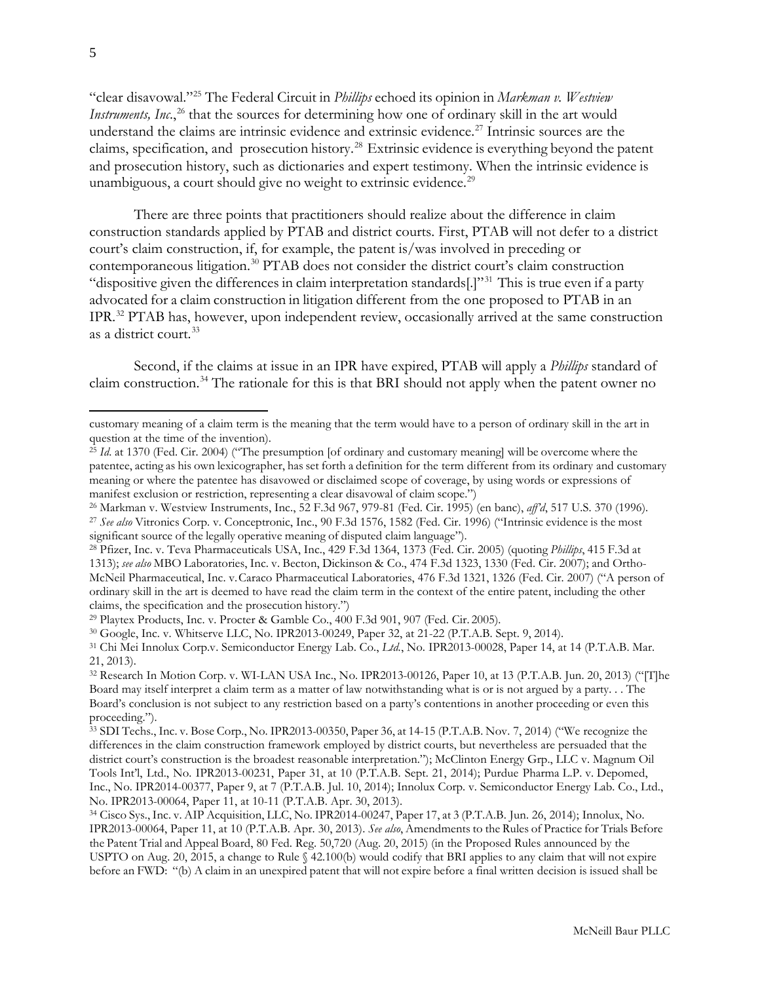"clear disavowal."[25](#page-4-0) The Federal Circuit in *Phillips* echoed its opinion in *Markman v. Westview Instruments, Inc.*,<sup>[26](#page-4-1)</sup> that the sources for determining how one of ordinary skill in the art would understand the claims are intrinsic evidence and extrinsic evidence.<sup>[27](#page-4-2)</sup> Intrinsic sources are the claims, specification, and prosecution history.[28](#page-4-3) Extrinsic evidence is everything beyond the patent and prosecution history, such as dictionaries and expert testimony. When the intrinsic evidence is unambiguous, a court should give no weight to extrinsic evidence.<sup>[29](#page-4-4)</sup>

There are three points that practitioners should realize about the difference in claim construction standards applied by PTAB and district courts. First, PTAB will not defer to a district court's claim construction, if, for example, the patent is/was involved in preceding or contemporaneous litigation.<sup>[30](#page-4-5)</sup> PTAB does not consider the district court's claim construction "dispositive given the differences in claim interpretation standards[.]"[31](#page-4-6) This is true even if a party advocated for a claim construction in litigation different from the one proposed to PTAB in an IPR.[32](#page-4-7) PTAB has, however, upon independent review, occasionally arrived at the same construction as a district court.<sup>[33](#page-4-8)</sup>

Second, if the claims at issue in an IPR have expired, PTAB will apply a *Phillips* standard of claim construction.<sup>[34](#page-4-9)</sup> The rationale for this is that BRI should not apply when the patent owner no

customary meaning of a claim term is the meaning that the term would have to a person of ordinary skill in the art in question at the time of the invention).

<span id="page-4-0"></span><sup>25</sup> *Id*. at 1370 (Fed. Cir. 2004) ("The presumption [of ordinary and customary meaning] will be overcome where the patentee, acting as his own lexicographer, has set forth a definition for the term different from its ordinary and customary meaning or where the patentee has disavowed or disclaimed scope of coverage, by using words or expressions of manifest exclusion or restriction, representing a clear disavowal of claim scope.")

<span id="page-4-1"></span><sup>26</sup> Markman v. Westview Instruments, Inc., 52 F.3d 967, 979-81 (Fed. Cir. 1995) (en banc), *aff'd*, 517 U.S. 370 (1996).

<span id="page-4-2"></span><sup>27</sup> *See also* Vitronics Corp. v. Conceptronic, Inc., 90 F.3d 1576, 1582 (Fed. Cir. 1996) ("Intrinsic evidence is the most significant source of the legally operative meaning of disputed claim language").

<span id="page-4-3"></span><sup>28</sup> Pfizer, Inc. v. Teva Pharmaceuticals USA, Inc., 429 F.3d 1364, 1373 (Fed. Cir. 2005) (quoting *Phillips*, 415 F.3d at 1313); *see also* MBO Laboratories, Inc. v. Becton, Dickinson & Co., 474 F.3d 1323, 1330 (Fed. Cir. 2007); and Ortho-McNeil Pharmaceutical, Inc. v.Caraco Pharmaceutical Laboratories, 476 F.3d 1321, 1326 (Fed. Cir. 2007) ("A person of ordinary skill in the art is deemed to have read the claim term in the context of the entire patent, including the other claims, the specification and the prosecution history.")

<span id="page-4-4"></span><sup>29</sup> Playtex Products, Inc. v. Procter & Gamble Co., 400 F.3d 901, 907 (Fed. Cir. 2005).

<span id="page-4-5"></span><sup>30</sup> Google, Inc. v. Whitserve LLC, No. IPR2013-00249, Paper 32, at 21-22 (P.T.A.B. Sept. 9, 2014).

<span id="page-4-6"></span><sup>31</sup> Chi Mei Innolux Corp.v. Semiconductor Energy Lab. Co., *Ltd.*, No. IPR2013-00028, Paper 14, at 14 (P.T.A.B. Mar. 21, 2013).

<span id="page-4-7"></span><sup>32</sup> Research In Motion Corp. v. WI-LAN USA Inc., No. IPR2013-00126, Paper 10, at 13 (P.T.A.B. Jun. 20, 2013) ("[T]he Board may itself interpret a claim term as a matter of law notwithstanding what is or is not argued by a party. . . The Board's conclusion is not subject to any restriction based on a party's contentions in another proceeding or even this proceeding.").

<span id="page-4-8"></span><sup>33</sup> SDI Techs., Inc. v. Bose Corp., No. IPR2013-00350, Paper 36, at 14-15 (P.T.A.B. Nov. 7, 2014) ("We recognize the differences in the claim construction framework employed by district courts, but nevertheless are persuaded that the district court's construction is the broadest reasonable interpretation."); McClinton Energy Grp., LLC v. Magnum Oil Tools Int'l, Ltd., No. IPR2013-00231, Paper 31, at 10 (P.T.A.B. Sept. 21, 2014); Purdue Pharma L.P. v. Depomed, Inc., No. IPR2014-00377, Paper 9, at 7 (P.T.A.B. Jul. 10, 2014); Innolux Corp. v. Semiconductor Energy Lab. Co., Ltd., No. IPR2013-00064, Paper 11, at 10-11 (P.T.A.B. Apr. 30, 2013).

<span id="page-4-9"></span><sup>34</sup> Cisco Sys., Inc. v. AIP Acquisition, LLC, No. IPR2014-00247, Paper 17, at 3 (P.T.A.B. Jun. 26, 2014); Innolux, No. IPR2013-00064, Paper 11, at 10 (P.T.A.B. Apr. 30, 2013). *See also*, Amendments to the Rules of Practice for Trials Before the Patent Trial and Appeal Board, 80 Fed. Reg. 50,720 (Aug. 20, 2015) (in the Proposed Rules announced by the USPTO on Aug. 20, 2015, a change to Rule § 42.100(b) would codify that BRI applies to any claim that will not expire before an FWD: "(b) A claim in an unexpired patent that will not expire before a final written decision is issued shall be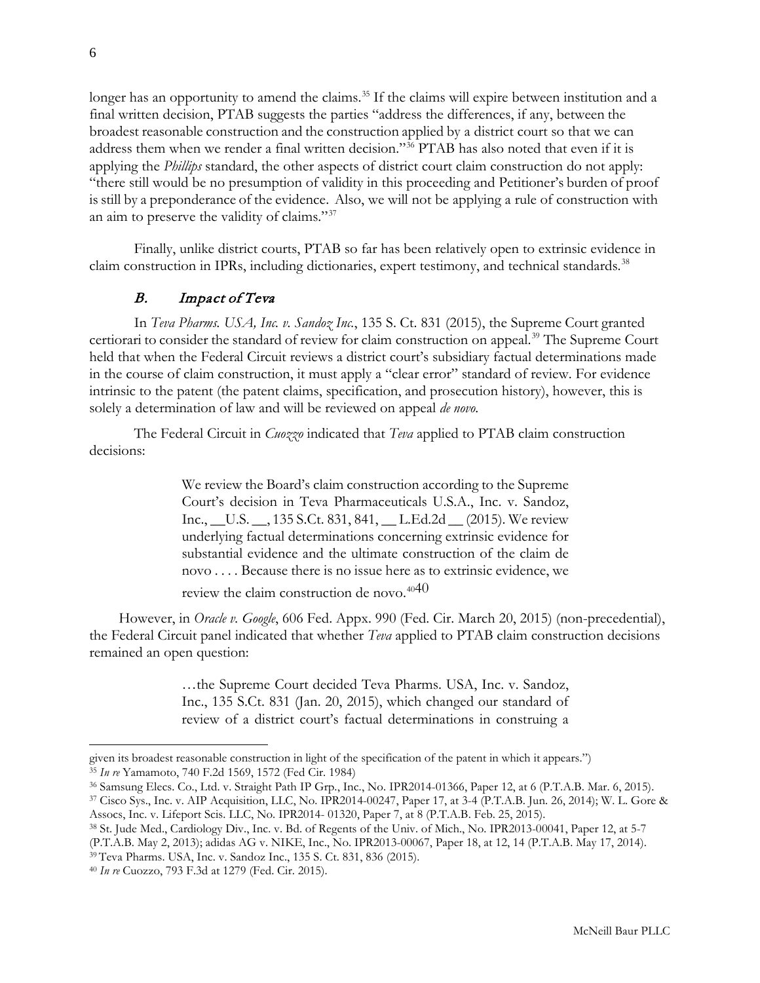longer has an opportunity to amend the claims.<sup>[35](#page-5-1)</sup> If the claims will expire between institution and a final written decision, PTAB suggests the parties "address the differences, if any, between the broadest reasonable construction and the construction applied by a district court so that we can address them when we render a final written decision."[36](#page-5-2) PTAB has also noted that even if it is applying the *Phillips* standard, the other aspects of district court claim construction do not apply: "there still would be no presumption of validity in this proceeding and Petitioner's burden of proof is still by a preponderance of the evidence. Also, we will not be applying a rule of construction with an aim to preserve the validity of claims."[37](#page-5-3)

Finally, unlike district courts, PTAB so far has been relatively open to extrinsic evidence in claim construction in IPRs, including dictionaries, expert testimony, and technical standards.<sup>[38](#page-5-4)</sup>

## B. Impact of Teva

<span id="page-5-0"></span>In *Teva Pharms. USA, Inc. v. Sandoz Inc.*, 135 S. Ct. 831 (2015), the Supreme Court granted certiorari to consider the standard of review for claim construction on appeal.<sup>[39](#page-5-5)</sup> The Supreme Court held that when the Federal Circuit reviews a district court's subsidiary factual determinations made in the course of claim construction, it must apply a "clear error" standard of review. For evidence intrinsic to the patent (the patent claims, specification, and prosecution history), however, this is solely a determination of law and will be reviewed on appeal *de novo*.

The Federal Circuit in *Cuozzo* indicated that *Teva* applied to PTAB claim construction decisions:

> We review the Board's claim construction according to the Supreme Court's decision in Teva Pharmaceuticals U.S.A., Inc. v. Sandoz, Inc., \_\_U.S. \_\_, 135 S.Ct. 831, 841, \_\_ L.Ed.2d \_\_ (2015). We review underlying factual determinations concerning extrinsic evidence for substantial evidence and the ultimate construction of the claim de novo . . . . Because there is no issue here as to extrinsic evidence, we

review the claim construction de novo.<sup>[40](#page-5-6)40</sup>

However, in *Oracle v. Google*, 606 Fed. Appx. 990 (Fed. Cir. March 20, 2015) (non-precedential), the Federal Circuit panel indicated that whether *Teva* applied to PTAB claim construction decisions remained an open question:

> …the Supreme Court decided Teva Pharms. USA, Inc. v. Sandoz, Inc., 135 S.Ct. 831 (Jan. 20, 2015), which changed our standard of review of a district court's factual determinations in construing a

given its broadest reasonable construction in light of the specification of the patent in which it appears.") <sup>35</sup> *In re* Yamamoto, 740 F.2d 1569, 1572 (Fed Cir. 1984)

<span id="page-5-2"></span><span id="page-5-1"></span><sup>36</sup> Samsung Elecs. Co., Ltd. v. Straight Path IP Grp., Inc., No. IPR2014-01366, Paper 12, at 6 (P.T.A.B. Mar. 6, 2015).

<span id="page-5-3"></span><sup>37</sup> Cisco Sys., Inc. v. AIP Acquisition, LLC, No. IPR2014-00247, Paper 17, at 3-4 (P.T.A.B. Jun. 26, 2014); W. L. Gore & Assocs, Inc. v. Lifeport Scis. LLC, No. IPR2014- 01320, Paper 7, at 8 (P.T.A.B. Feb. 25, 2015).

<span id="page-5-4"></span><sup>38</sup> St. Jude Med., Cardiology Div., Inc. v. Bd. of Regents of the Univ. of Mich., No. IPR2013-00041, Paper 12, at 5-7 (P.T.A.B. May 2, 2013); adidas AG v. NIKE, Inc., No. IPR2013-00067, Paper 18, at 12, 14 (P.T.A.B. May 17, 2014). <sup>39</sup> Teva Pharms. USA, Inc. v. Sandoz Inc., 135 S. Ct. 831, 836 (2015).

<span id="page-5-6"></span><span id="page-5-5"></span><sup>40</sup> *In re* Cuozzo, 793 F.3d at 1279 (Fed. Cir. 2015).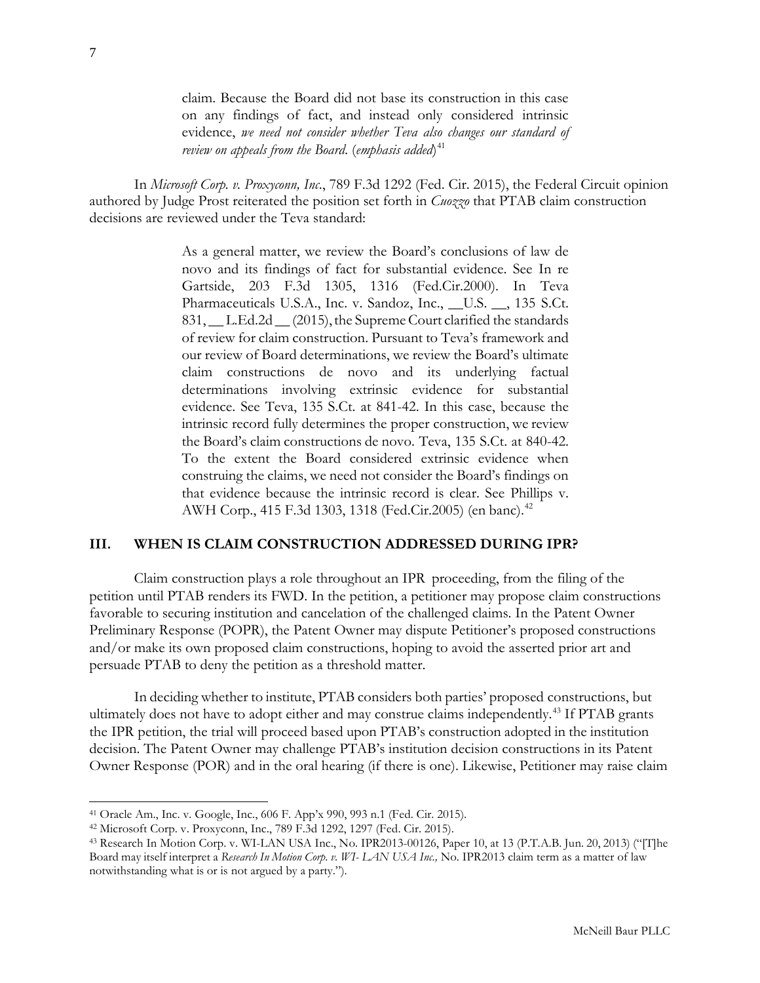claim. Because the Board did not base its construction in this case on any findings of fact, and instead only considered intrinsic evidence, *we need not consider whether Teva also changes our standard of review on appeals from the Board*. (*emphasis added*) [41](#page-6-1)

In *Microsoft Corp. v. Proxyconn, Inc*., 789 F.3d 1292 (Fed. Cir. 2015), the Federal Circuit opinion authored by Judge Prost reiterated the position set forth in *Cuozzo* that PTAB claim construction decisions are reviewed under the Teva standard:

> As a general matter, we review the Board's conclusions of law de novo and its findings of fact for substantial evidence. See In re Gartside, 203 F.3d 1305, 1316 (Fed.Cir.2000). In Teva Pharmaceuticals U.S.A., Inc. v. Sandoz, Inc., \_\_U.S. \_\_, 135 S.Ct. 831, \_\_ L.Ed.2d \_\_ (2015),the Supreme Court clarified the standards of review for claim construction. Pursuant to Teva's framework and our review of Board determinations, we review the Board's ultimate claim constructions de novo and its underlying factual determinations involving extrinsic evidence for substantial evidence. See Teva, 135 S.Ct. at 841-42. In this case, because the intrinsic record fully determines the proper construction, we review the Board's claim constructions de novo. Teva, 135 S.Ct. at 840-42. To the extent the Board considered extrinsic evidence when construing the claims, we need not consider the Board's findings on that evidence because the intrinsic record is clear. See Phillips v. AWH Corp., 415 F.3d 1303, 1318 (Fed.Cir.2005) (en banc).<sup>[42](#page-6-2)</sup>

#### <span id="page-6-0"></span>**III. WHEN IS CLAIM CONSTRUCTION ADDRESSED DURING IPR?**

Claim construction plays a role throughout an IPR proceeding, from the filing of the petition until PTAB renders its FWD. In the petition, a petitioner may propose claim constructions favorable to securing institution and cancelation of the challenged claims. In the Patent Owner Preliminary Response (POPR), the Patent Owner may dispute Petitioner's proposed constructions and/or make its own proposed claim constructions, hoping to avoid the asserted prior art and persuade PTAB to deny the petition as a threshold matter.

In deciding whether to institute, PTAB considers both parties' proposed constructions, but ultimately does not have to adopt either and may construe claims independently.<sup>[43](#page-6-3)</sup> If PTAB grants the IPR petition, the trial will proceed based upon PTAB's construction adopted in the institution decision. The Patent Owner may challenge PTAB's institution decision constructions in its Patent Owner Response (POR) and in the oral hearing (if there is one). Likewise, Petitioner may raise claim

<span id="page-6-1"></span><sup>41</sup> Oracle Am., Inc. v. Google, Inc., 606 F. App'x 990, 993 n.1 (Fed. Cir. 2015).

<span id="page-6-2"></span><sup>42</sup> Microsoft Corp. v. Proxyconn, Inc., 789 F.3d 1292, 1297 (Fed. Cir. 2015).

<span id="page-6-3"></span><sup>43</sup> Research In Motion Corp. v. WI-LAN USA Inc., No. IPR2013-00126, Paper 10, at 13 (P.T.A.B. Jun. 20, 2013) ("[T]he Board may itself interpret a *Research In Motion Corp. v. WI- LAN USA Inc.,* No. IPR2013 claim term as a matter of law notwithstanding what is or is not argued by a party.").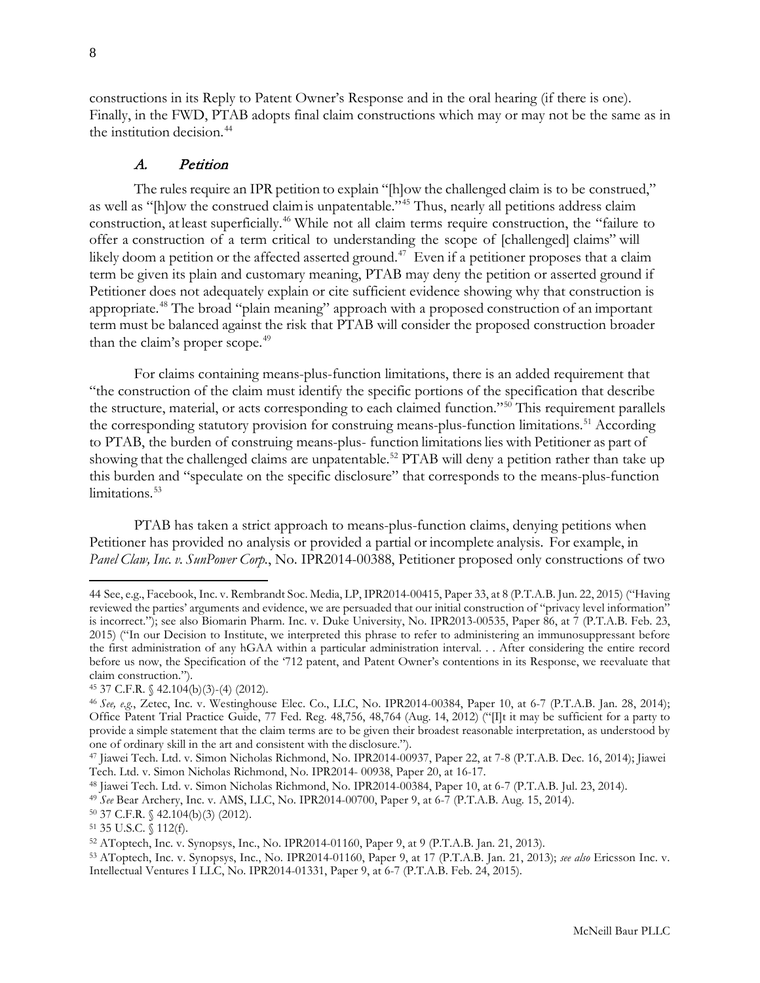constructions in its Reply to Patent Owner's Response and in the oral hearing (if there is one). Finally, in the FWD, PTAB adopts final claim constructions which may or may not be the same as in the institution decision.<sup>[44](#page-7-1)</sup>

### A. Petition

<span id="page-7-0"></span>The rules require an IPR petition to explain "[h]ow the challenged claim is to be construed," as well as "[h]ow the construed claim is unpatentable."<sup>[45](#page-7-2)</sup> Thus, nearly all petitions address claim construction, at least superficially.[46](#page-7-3) While not all claim terms require construction, the "failure to offer a construction of a term critical to understanding the scope of [challenged] claims" will likely doom a petition or the affected asserted ground.<sup>[47](#page-7-4)</sup> Even if a petitioner proposes that a claim term be given its plain and customary meaning, PTAB may deny the petition or asserted ground if Petitioner does not adequately explain or cite sufficient evidence showing why that construction is appropriate.[48](#page-7-5) The broad "plain meaning" approach with a proposed construction of an important term must be balanced against the risk that PTAB will consider the proposed construction broader than the claim's proper scope.<sup>[49](#page-7-6)</sup>

For claims containing means-plus-function limitations, there is an added requirement that "the construction of the claim must identify the specific portions of the specification that describe the structure, material, or acts corresponding to each claimed function."[50](#page-7-7) This requirement parallels the corresponding statutory provision for construing means-plus-function limitations.<sup>[51](#page-7-8)</sup> According to PTAB, the burden of construing means-plus- function limitations lies with Petitioner as part of showing that the challenged claims are unpatentable.<sup>[52](#page-7-9)</sup> PTAB will deny a petition rather than take up this burden and "speculate on the specific disclosure" that corresponds to the means-plus-function limitations.<sup>[53](#page-7-10)</sup>

PTAB has taken a strict approach to means-plus-function claims, denying petitions when Petitioner has provided no analysis or provided a partial or incomplete analysis. For example, in *Panel Claw, Inc. v. SunPower Corp.*, No. IPR2014-00388, Petitioner proposed only constructions of two

<span id="page-7-1"></span><sup>44</sup> See, e.g., Facebook, Inc. v. Rembrandt Soc. Media, LP, IPR2014-00415, Paper 33, at 8 (P.T.A.B. Jun. 22, 2015) ("Having reviewed the parties' arguments and evidence, we are persuaded that our initial construction of "privacy level information" is incorrect."); see also Biomarin Pharm. Inc. v. Duke University, No. IPR2013-00535, Paper 86, at 7 (P.T.A.B. Feb. 23, 2015) ("In our Decision to Institute, we interpreted this phrase to refer to administering an immunosuppressant before the first administration of any hGAA within a particular administration interval. . . After considering the entire record before us now, the Specification of the '712 patent, and Patent Owner's contentions in its Response, we reevaluate that claim construction.").

<span id="page-7-2"></span><sup>45</sup> 37 C.F.R. § 42.104(b)(3)-(4) (2012).

<span id="page-7-3"></span><sup>46</sup> *See, e.g.*, Zetec, Inc. v. Westinghouse Elec. Co., LLC, No. IPR2014-00384, Paper 10, at 6-7 (P.T.A.B. Jan. 28, 2014); Office Patent Trial Practice Guide, 77 Fed. Reg. 48,756, 48,764 (Aug. 14, 2012) ("[I]t it may be sufficient for a party to provide a simple statement that the claim terms are to be given their broadest reasonable interpretation, as understood by one of ordinary skill in the art and consistent with the disclosure.").

<span id="page-7-4"></span><sup>47</sup> Jiawei Tech. Ltd. v. Simon Nicholas Richmond, No. IPR2014-00937, Paper 22, at 7-8 (P.T.A.B. Dec. 16, 2014); Jiawei Tech. Ltd. v. Simon Nicholas Richmond, No. IPR2014- 00938, Paper 20, at 16-17.

<span id="page-7-5"></span><sup>48</sup> Jiawei Tech. Ltd. v. Simon Nicholas Richmond, No. IPR2014-00384, Paper 10, at 6-7 (P.T.A.B. Jul. 23, 2014).

<span id="page-7-6"></span><sup>49</sup> *See* Bear Archery, Inc. v. AMS, LLC, No. IPR2014-00700, Paper 9, at 6-7 (P.T.A.B. Aug. 15, 2014).

<span id="page-7-7"></span><sup>50</sup> 37 C.F.R. § 42.104(b)(3) (2012).

<span id="page-7-8"></span><sup>51</sup> 35 U.S.C. § 112(f).

<span id="page-7-9"></span><sup>52</sup> AToptech, Inc. v. Synopsys, Inc., No. IPR2014-01160, Paper 9, at 9 (P.T.A.B. Jan. 21, 2013).

<span id="page-7-10"></span><sup>53</sup> AToptech, Inc. v. Synopsys, Inc., No. IPR2014-01160, Paper 9, at 17 (P.T.A.B. Jan. 21, 2013); *see also* Ericsson Inc. v. Intellectual Ventures I LLC, No. IPR2014-01331, Paper 9, at 6-7 (P.T.A.B. Feb. 24, 2015).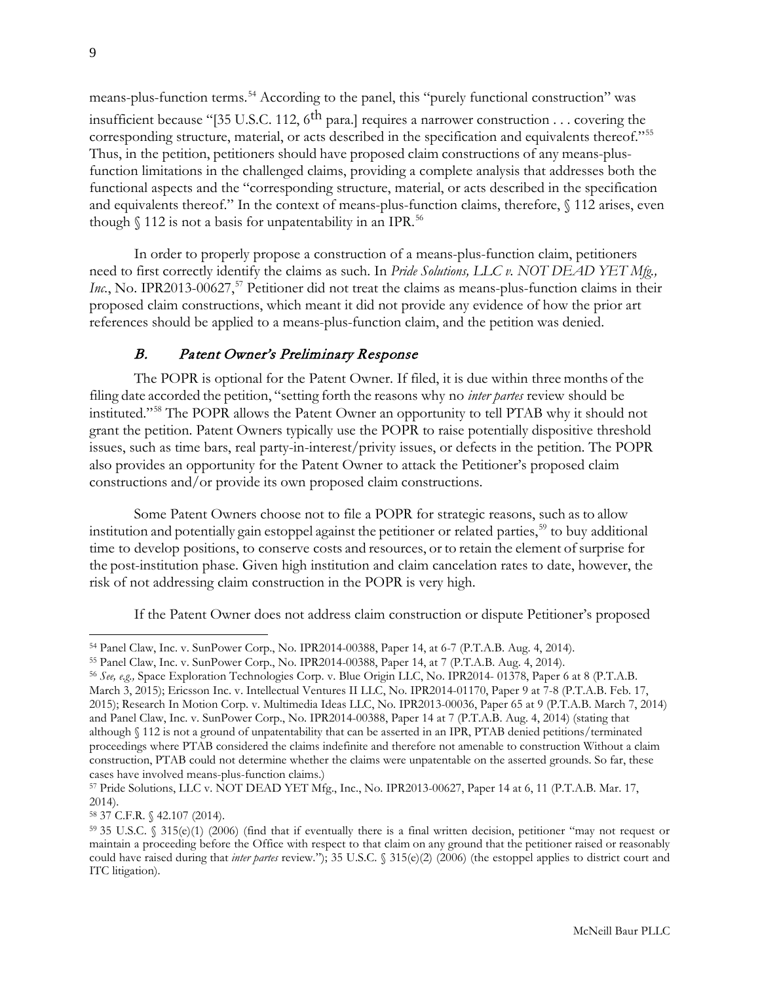means-plus-function terms.<sup>[54](#page-8-1)</sup> According to the panel, this "purely functional construction" was insufficient because "[35 U.S.C. 112,  $6^{\text{th}}$  para.] requires a narrower construction . . . covering the corresponding structure, material, or acts described in the specification and equivalents thereof."[55](#page-8-2) Thus, in the petition, petitioners should have proposed claim constructions of any means-plusfunction limitations in the challenged claims, providing a complete analysis that addresses both the functional aspects and the "corresponding structure, material, or acts described in the specification and equivalents thereof." In the context of means-plus-function claims, therefore, § 112 arises, even though  $\%$  112 is not a basis for unpatentability in an IPR.<sup>[56](#page-8-3)</sup>

In order to properly propose a construction of a means-plus-function claim, petitioners need to first correctly identify the claims as such. In *Pride Solutions, LLC v. NOT DEAD YET Mfg., Inc.*, No. IPR2013-00627,<sup>57</sup> Petitioner did not treat the claims as means-plus-function claims in their proposed claim constructions, which meant it did not provide any evidence of how the prior art references should be applied to a means-plus-function claim, and the petition was denied.

# B. Patent Owner's Preliminary Response

<span id="page-8-0"></span>The POPR is optional for the Patent Owner. If filed, it is due within three months of the filing date accorded the petition, "setting forth the reasons why no *inter partes* review should be instituted."[58](#page-8-5) The POPR allows the Patent Owner an opportunity to tell PTAB why it should not grant the petition. Patent Owners typically use the POPR to raise potentially dispositive threshold issues, such as time bars, real party-in-interest/privity issues, or defects in the petition. The POPR also provides an opportunity for the Patent Owner to attack the Petitioner's proposed claim constructions and/or provide its own proposed claim constructions.

Some Patent Owners choose not to file a POPR for strategic reasons, such as to allow institution and potentially gain estoppel against the petitioner or related parties,<sup>[59](#page-8-6)</sup> to buy additional time to develop positions, to conserve costs and resources, or to retain the element of surprise for the post-institution phase. Given high institution and claim cancelation rates to date, however, the risk of not addressing claim construction in the POPR is very high.

If the Patent Owner does not address claim construction or dispute Petitioner's proposed

<span id="page-8-5"></span><sup>58</sup> 37 C.F.R. § 42.107 (2014).

<span id="page-8-1"></span><sup>54</sup> Panel Claw, Inc. v. SunPower Corp., No. IPR2014-00388, Paper 14, at 6-7 (P.T.A.B. Aug. 4, 2014).

<span id="page-8-2"></span><sup>55</sup> Panel Claw, Inc. v. SunPower Corp., No. IPR2014-00388, Paper 14, at 7 (P.T.A.B. Aug. 4, 2014).

<span id="page-8-3"></span><sup>56</sup> *See, e.g.,* Space Exploration Technologies Corp. v. Blue Origin LLC, No. IPR2014- 01378, Paper 6 at 8 (P.T.A.B. March 3, 2015); Ericsson Inc. v. Intellectual Ventures II LLC, No. IPR2014-01170, Paper 9 at 7-8 (P.T.A.B. Feb. 17, 2015); Research In Motion Corp. v. Multimedia Ideas LLC, No. IPR2013-00036, Paper 65 at 9 (P.T.A.B. March 7, 2014) and Panel Claw, Inc. v. SunPower Corp., No. IPR2014-00388, Paper 14 at 7 (P.T.A.B. Aug. 4, 2014) (stating that although § 112 is not a ground of unpatentability that can be asserted in an IPR, PTAB denied petitions/terminated proceedings where PTAB considered the claims indefinite and therefore not amenable to construction Without a claim construction, PTAB could not determine whether the claims were unpatentable on the asserted grounds. So far, these cases have involved means-plus-function claims.)

<span id="page-8-4"></span><sup>57</sup> Pride Solutions, LLC v. NOT DEAD YET Mfg., Inc., No. IPR2013-00627, Paper 14 at 6, 11 (P.T.A.B. Mar. 17, 2014).

<span id="page-8-6"></span><sup>59</sup> 35 U.S.C. § 315(e)(1) (2006) (find that if eventually there is a final written decision, petitioner "may not request or maintain a proceeding before the Office with respect to that claim on any ground that the petitioner raised or reasonably could have raised during that *inter partes* review."); 35 U.S.C. § 315(e)(2) (2006) (the estoppel applies to district court and ITC litigation).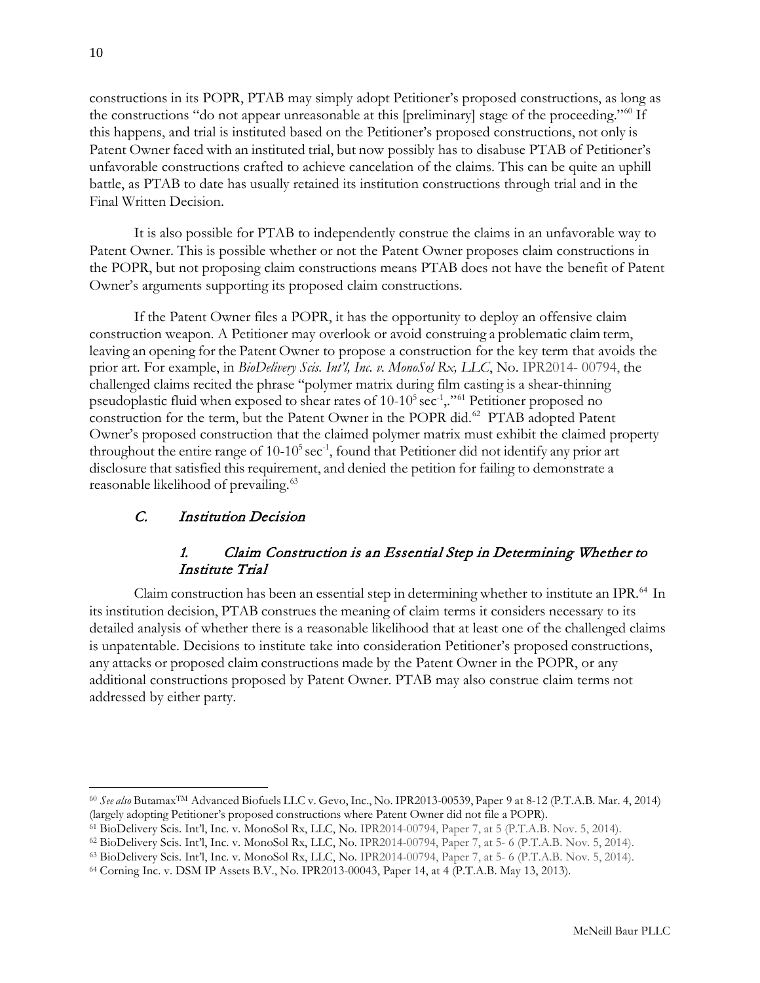constructions in its POPR, PTAB may simply adopt Petitioner's proposed constructions, as long as the constructions "do not appear unreasonable at this [preliminary] stage of the proceeding."[60](#page-9-2) If this happens, and trial is instituted based on the Petitioner's proposed constructions, not only is Patent Owner faced with an instituted trial, but now possibly has to disabuse PTAB of Petitioner's unfavorable constructions crafted to achieve cancelation of the claims. This can be quite an uphill battle, as PTAB to date has usually retained its institution constructions through trial and in the Final Written Decision.

It is also possible for PTAB to independently construe the claims in an unfavorable way to Patent Owner. This is possible whether or not the Patent Owner proposes claim constructions in the POPR, but not proposing claim constructions means PTAB does not have the benefit of Patent Owner's arguments supporting its proposed claim constructions.

If the Patent Owner files a POPR, it has the opportunity to deploy an offensive claim construction weapon. A Petitioner may overlook or avoid construing a problematic claim term, leaving an opening for the Patent Owner to propose a construction for the key term that avoids the prior art. For example, in *BioDelivery Scis. Int'l, Inc. v. MonoSol Rx, LLC*, No. IPR2014- 00794, the challenged claims recited the phrase "polymer matrix during film casting is a shear-thinning pseudoplastic fluid when exposed to shear rates of  $10{\text -}10^5\,\text{sec}^1$ ,  $\text{``}^6\text{''}$  Petitioner proposed no construction for the term, but the Patent Owner in the POPR did.<sup>[62](#page-9-4)</sup> PTAB adopted Patent Owner's proposed construction that the claimed polymer matrix must exhibit the claimed property throughout the entire range of  $10{\text -}10^5\,\text{sec}^1$ , found that Petitioner did not identify any prior art disclosure that satisfied this requirement, and denied the petition for failing to demonstrate a reasonable likelihood of prevailing.<sup>[63](#page-9-5)</sup>

# <span id="page-9-0"></span>C. Institution Decision

# 1. Claim Construction is an Essential Step in Determining Whether to Institute Trial

<span id="page-9-1"></span>Claim construction has been an essential step in determining whether to institute an IPR.<sup>[64](#page-9-6)</sup> In its institution decision, PTAB construes the meaning of claim terms it considers necessary to its detailed analysis of whether there is a reasonable likelihood that at least one of the challenged claims is unpatentable. Decisions to institute take into consideration Petitioner's proposed constructions, any attacks or proposed claim constructions made by the Patent Owner in the POPR, or any additional constructions proposed by Patent Owner. PTAB may also construe claim terms not addressed by either party.

<span id="page-9-2"></span> $\overline{a}$ <sup>60</sup> *See also* ButamaxTM Advanced Biofuels LLC v. Gevo, Inc., No. IPR2013-00539, Paper 9 at 8-12 (P.T.A.B. Mar. 4, 2014) (largely adopting Petitioner's proposed constructions where Patent Owner did not file a POPR).

<span id="page-9-3"></span><sup>61</sup> BioDelivery Scis. Int'l, Inc. v. MonoSol Rx, LLC, No. IPR2014-00794, Paper 7, at 5 (P.T.A.B. Nov. 5, 2014).

<span id="page-9-4"></span><sup>62</sup> BioDelivery Scis. Int'l, Inc. v. MonoSol Rx, LLC, No. IPR2014-00794, Paper 7, at 5- 6 (P.T.A.B. Nov. 5, 2014).

<span id="page-9-5"></span><sup>63</sup> BioDelivery Scis. Int'l, Inc. v. MonoSol Rx, LLC, No. IPR2014-00794, Paper 7, at 5- 6 (P.T.A.B. Nov. 5, 2014).

<span id="page-9-6"></span><sup>64</sup> Corning Inc. v. DSM IP Assets B.V., No. IPR2013-00043, Paper 14, at 4 (P.T.A.B. May 13, 2013).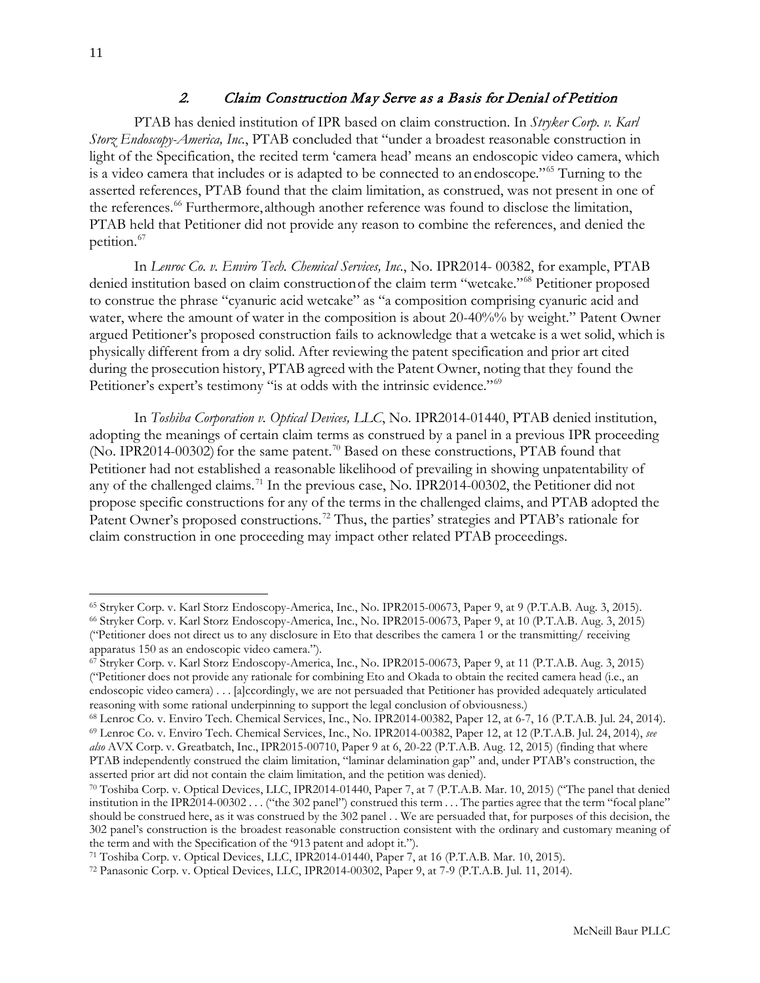# 2. Claim Construction May Serve as a Basis for Denial of Petition

<span id="page-10-0"></span>PTAB has denied institution of IPR based on claim construction. In *Stryker Corp. v. Karl Storz Endoscopy-America, Inc.*, PTAB concluded that "under a broadest reasonable construction in light of the Specification, the recited term 'camera head' means an endoscopic video camera, which is a video camera that includes or is adapted to be connected to an endoscope."[65](#page-10-1) Turning to the asserted references, PTAB found that the claim limitation, as construed, was not present in one of the references.<sup>[66](#page-10-2)</sup> Furthermore, although another reference was found to disclose the limitation, PTAB held that Petitioner did not provide any reason to combine the references, and denied the petition.<sup>[67](#page-10-3)</sup>

In *Lenroc Co. v. Enviro Tech. Chemical Services, Inc*., No. IPR2014- 00382, for example, PTAB denied institution based on claim constructionof the claim term "wetcake."[68](#page-10-4) Petitioner proposed to construe the phrase "cyanuric acid wetcake" as "a composition comprising cyanuric acid and water, where the amount of water in the composition is about 20-40%% by weight." Patent Owner argued Petitioner's proposed construction fails to acknowledge that a wetcake is a wet solid, which is physically different from a dry solid. After reviewing the patent specification and prior art cited during the prosecution history, PTAB agreed with the Patent Owner, noting that they found the Petitioner's expert's testimony "is at odds with the intrinsic evidence."<sup>[69](#page-10-5)</sup>

In *Toshiba Corporation v. Optical Devices, LLC*, No. IPR2014-01440, PTAB denied institution, adopting the meanings of certain claim terms as construed by a panel in a previous IPR proceeding (No. IPR2014-00302) for the same patent.<sup>[70](#page-10-6)</sup> Based on these constructions, PTAB found that Petitioner had not established a reasonable likelihood of prevailing in showing unpatentability of any of the challenged claims.<sup>[71](#page-10-7)</sup> In the previous case, No. IPR2014-00302, the Petitioner did not propose specific constructions for any of the terms in the challenged claims, and PTAB adopted the Patent Owner's proposed constructions.<sup>[72](#page-10-8)</sup> Thus, the parties' strategies and PTAB's rationale for claim construction in one proceeding may impact other related PTAB proceedings.

<span id="page-10-2"></span><span id="page-10-1"></span> $\overline{a}$ <sup>65</sup> Stryker Corp. v. Karl Storz Endoscopy-America, Inc., No. IPR2015-00673, Paper 9, at 9 (P.T.A.B. Aug. 3, 2015). <sup>66</sup> Stryker Corp. v. Karl Storz Endoscopy-America, Inc., No. IPR2015-00673, Paper 9, at 10 (P.T.A.B. Aug. 3, 2015) ("Petitioner does not direct us to any disclosure in Eto that describes the camera 1 or the transmitting/ receiving apparatus 150 as an endoscopic video camera.").

<span id="page-10-3"></span><sup>67</sup> Stryker Corp. v. Karl Storz Endoscopy-America, Inc., No. IPR2015-00673, Paper 9, at 11 (P.T.A.B. Aug. 3, 2015) ("Petitioner does not provide any rationale for combining Eto and Okada to obtain the recited camera head (i.e., an endoscopic video camera) . . . [a]ccordingly, we are not persuaded that Petitioner has provided adequately articulated reasoning with some rational underpinning to support the legal conclusion of obviousness.)

<span id="page-10-5"></span><span id="page-10-4"></span><sup>68</sup> Lenroc Co. v. Enviro Tech. Chemical Services, Inc., No. IPR2014-00382, Paper 12, at 6-7, 16 (P.T.A.B. Jul. 24, 2014). <sup>69</sup> Lenroc Co. v. Enviro Tech. Chemical Services, Inc., No. IPR2014-00382, Paper 12, at 12 (P.T.A.B. Jul. 24, 2014), *see also* AVX Corp. v. Greatbatch, Inc., IPR2015-00710, Paper 9 at 6, 20-22 (P.T.A.B. Aug. 12, 2015) (finding that where PTAB independently construed the claim limitation, "laminar delamination gap" and, under PTAB's construction, the asserted prior art did not contain the claim limitation, and the petition was denied).

<span id="page-10-6"></span><sup>70</sup> Toshiba Corp. v. Optical Devices, LLC, IPR2014-01440, Paper 7, at 7 (P.T.A.B. Mar. 10, 2015) ("The panel that denied institution in the IPR2014-00302 . . . ("the 302 panel") construed this term . . . The parties agree that the term "focal plane" should be construed here, as it was construed by the 302 panel . . We are persuaded that, for purposes of this decision, the 302 panel's construction is the broadest reasonable construction consistent with the ordinary and customary meaning of the term and with the Specification of the '913 patent and adopt it.").

<span id="page-10-7"></span><sup>71</sup> Toshiba Corp. v. Optical Devices, LLC, IPR2014-01440, Paper 7, at 16 (P.T.A.B. Mar. 10, 2015).

<span id="page-10-8"></span><sup>72</sup> Panasonic Corp. v. Optical Devices, LLC, IPR2014-00302, Paper 9, at 7-9 (P.T.A.B. Jul. 11, 2014).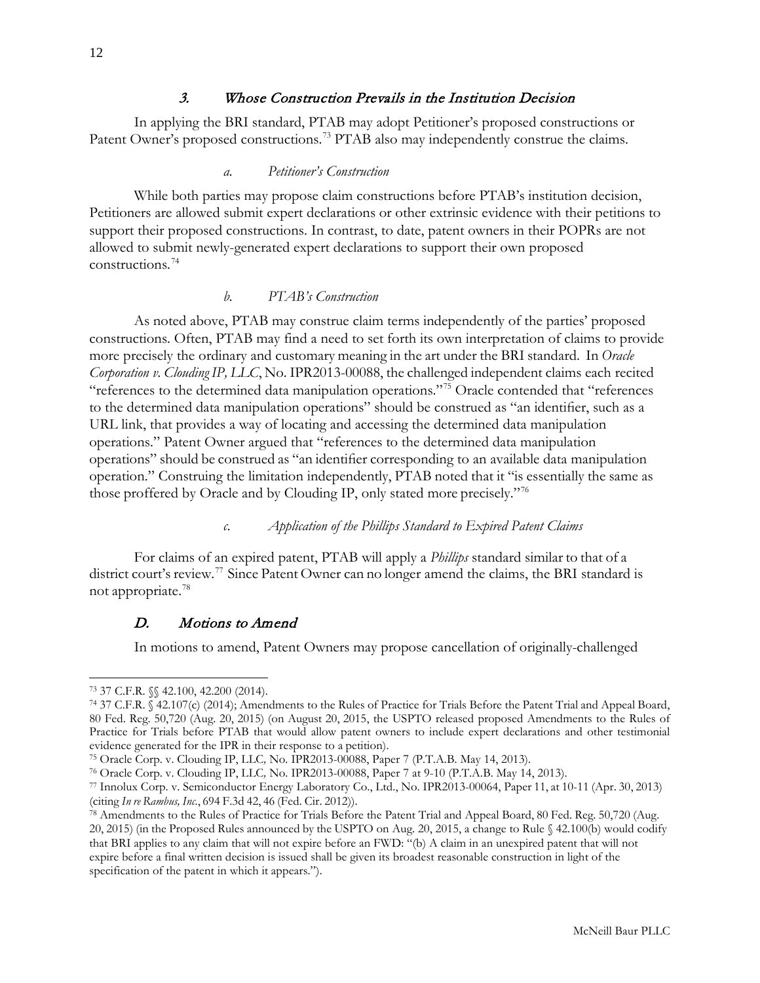<span id="page-11-0"></span>In applying the BRI standard, PTAB may adopt Petitioner's proposed constructions or Patent Owner's proposed constructions.<sup>[73](#page-11-5)</sup> PTAB also may independently construe the claims.

## *a. Petitioner's Construction*

<span id="page-11-1"></span>While both parties may propose claim constructions before PTAB's institution decision, Petitioners are allowed submit expert declarations or other extrinsic evidence with their petitions to support their proposed constructions. In contrast, to date, patent owners in their POPRs are not allowed to submit newly-generated expert declarations to support their own proposed constructions.[74](#page-11-6)

#### *b. PTAB's Construction*

<span id="page-11-2"></span>As noted above, PTAB may construe claim terms independently of the parties' proposed constructions. Often, PTAB may find a need to set forth its own interpretation of claims to provide more precisely the ordinary and customary meaning in the art under the BRI standard. In *Oracle Corporation v. Clouding IP, LLC*, No. IPR2013-00088, the challenged independent claims each recited "references to the determined data manipulation operations."<sup>[75](#page-11-7)</sup> Oracle contended that "references" to the determined data manipulation operations" should be construed as "an identifier, such as a URL link, that provides a way of locating and accessing the determined data manipulation operations." Patent Owner argued that "references to the determined data manipulation operations" should be construed as "an identifier corresponding to an available data manipulation operation." Construing the limitation independently, PTAB noted that it "is essentially the same as those proffered by Oracle and by Clouding IP, only stated more precisely."[76](#page-11-8)

## *c. Application of the Phillips Standard to Expired Patent Claims*

<span id="page-11-3"></span>For claims of an expired patent, PTAB will apply a *Phillips* standard similar to that of a district court's review.<sup>[77](#page-11-9)</sup> Since Patent Owner can no longer amend the claims, the BRI standard is not appropriate.[78](#page-11-10)

#### <span id="page-11-4"></span>D. Motions to Amend

In motions to amend, Patent Owners may propose cancellation of originally-challenged

<span id="page-11-5"></span><sup>73</sup> 37 C.F.R. §§ 42.100, 42.200 (2014).

<span id="page-11-6"></span><sup>74</sup> 37 C.F.R. § 42.107(c) (2014); Amendments to the Rules of Practice for Trials Before the Patent Trial and Appeal Board, 80 Fed. Reg. 50,720 (Aug. 20, 2015) (on August 20, 2015, the USPTO released proposed Amendments to the Rules of Practice for Trials before PTAB that would allow patent owners to include expert declarations and other testimonial evidence generated for the IPR in their response to a petition).

<span id="page-11-7"></span><sup>75</sup> Oracle Corp. v. Clouding IP, LLC*,* No. IPR2013-00088, Paper 7 (P.T.A.B. May 14, 2013).

<span id="page-11-8"></span><sup>76</sup> Oracle Corp. v. Clouding IP, LLC*,* No. IPR2013-00088, Paper 7 at 9-10 (P.T.A.B. May 14, 2013).

<span id="page-11-9"></span><sup>77</sup> Innolux Corp. v. Semiconductor Energy Laboratory Co., Ltd., No. IPR2013-00064, Paper 11, at 10-11 (Apr. 30, 2013) (citing *In re Rambus, Inc.*, 694 F.3d 42, 46 (Fed. Cir. 2012)).

<span id="page-11-10"></span><sup>78</sup> Amendments to the Rules of Practice for Trials Before the Patent Trial and Appeal Board, 80 Fed. Reg. 50,720 (Aug. 20, 2015) (in the Proposed Rules announced by the USPTO on Aug. 20, 2015, a change to Rule § 42.100(b) would codify that BRI applies to any claim that will not expire before an FWD: "(b) A claim in an unexpired patent that will not expire before a final written decision is issued shall be given its broadest reasonable construction in light of the specification of the patent in which it appears.").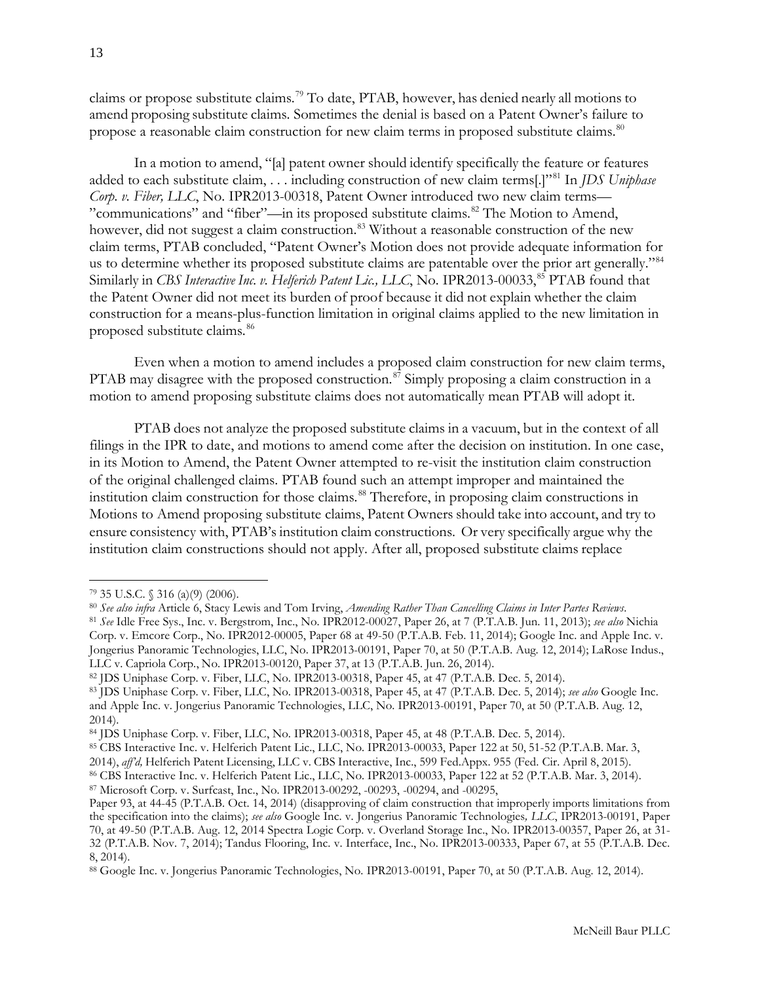claims or propose substitute claims.[79](#page-12-0) To date, PTAB, however, has denied nearly all motions to amend proposing substitute claims. Sometimes the denial is based on a Patent Owner's failure to propose a reasonable claim construction for new claim terms in proposed substitute claims.<sup>[80](#page-12-1)</sup>

In a motion to amend, "[a] patent owner should identify specifically the feature or features added to each substitute claim, . . . including construction of new claim terms[.]"[81](#page-12-2) In *JDS Uniphase Corp. v. Fiber, LLC*, No. IPR2013-00318, Patent Owner introduced two new claim terms— "communications" and "fiber"—in its proposed substitute claims.<sup>[82](#page-12-3)</sup> The Motion to Amend, however, did not suggest a claim construction.<sup>[83](#page-12-4)</sup> Without a reasonable construction of the new claim terms, PTAB concluded, "Patent Owner's Motion does not provide adequate information for us to determine whether its proposed substitute claims are patentable over the prior art generally."<sup>84</sup> Similarly in *CBS Interactive Inc. v. Helferich Patent Lic., LLC*, No. IPR2013-00033,[85](#page-12-6) PTAB found that the Patent Owner did not meet its burden of proof because it did not explain whether the claim construction for a means-plus-function limitation in original claims applied to the new limitation in proposed substitute claims.<sup>[86](#page-12-7)</sup>

Even when a motion to amend includes a proposed claim construction for new claim terms, PTAB may disagree with the proposed construction.<sup>[87](#page-12-8)</sup> Simply proposing a claim construction in a motion to amend proposing substitute claims does not automatically mean PTAB will adopt it.

PTAB does not analyze the proposed substitute claims in a vacuum, but in the context of all filings in the IPR to date, and motions to amend come after the decision on institution. In one case, in its Motion to Amend, the Patent Owner attempted to re-visit the institution claim construction of the original challenged claims. PTAB found such an attempt improper and maintained the institution claim construction for those claims.<sup>[88](#page-12-9)</sup> Therefore, in proposing claim constructions in Motions to Amend proposing substitute claims, Patent Owners should take into account, and try to ensure consistency with, PTAB's institution claim constructions. Or very specifically argue why the institution claim constructions should not apply. After all, proposed substitute claims replace

<span id="page-12-0"></span><sup>79</sup> 35 U.S.C. § 316 (a)(9) (2006).

<span id="page-12-1"></span><sup>80</sup> *See also infra* Article 6, Stacy Lewis and Tom Irving, *Amending Rather Than Cancelling Claims in Inter Partes Reviews*.

<span id="page-12-2"></span><sup>81</sup> *See* Idle Free Sys., Inc. v. Bergstrom, Inc., No. IPR2012-00027, Paper 26, at 7 (P.T.A.B. Jun. 11, 2013); *see also* Nichia Corp. v. Emcore Corp., No. IPR2012-00005, Paper 68 at 49-50 (P.T.A.B. Feb. 11, 2014); Google Inc. and Apple Inc. v. Jongerius Panoramic Technologies, LLC, No. IPR2013-00191, Paper 70, at 50 (P.T.A.B. Aug. 12, 2014); LaRose Indus., LLC v. Capriola Corp., No. IPR2013-00120, Paper 37, at 13 (P.T.A.B. Jun. 26, 2014).

<span id="page-12-3"></span><sup>82</sup> JDS Uniphase Corp. v. Fiber, LLC, No. IPR2013-00318, Paper 45, at 47 (P.T.A.B. Dec. 5, 2014).

<span id="page-12-4"></span><sup>83</sup> JDS Uniphase Corp. v. Fiber, LLC, No. IPR2013-00318, Paper 45, at 47 (P.T.A.B. Dec. 5, 2014); *see also* Google Inc. and Apple Inc. v. Jongerius Panoramic Technologies, LLC, No. IPR2013-00191, Paper 70, at 50 (P.T.A.B. Aug. 12, 2014).

<span id="page-12-5"></span><sup>84</sup> JDS Uniphase Corp. v. Fiber, LLC, No. IPR2013-00318, Paper 45, at 48 (P.T.A.B. Dec. 5, 2014).

<span id="page-12-6"></span><sup>85</sup> CBS Interactive Inc. v. Helferich Patent Lic., LLC, No. IPR2013-00033, Paper 122 at 50, 51-52 (P.T.A.B. Mar. 3,

<sup>2014),</sup> *aff'd,* Helferich Patent Licensing, LLC v. CBS Interactive, Inc., 599 Fed.Appx. 955 (Fed. Cir. April 8, 2015).

<span id="page-12-7"></span><sup>86</sup> CBS Interactive Inc. v. Helferich Patent Lic., LLC, No. IPR2013-00033, Paper 122 at 52 (P.T.A.B. Mar. 3, 2014).

<span id="page-12-8"></span><sup>87</sup> Microsoft Corp. v. Surfcast, Inc., No. IPR2013-00292, -00293, -00294, and -00295,

Paper 93, at 44-45 (P.T.A.B. Oct. 14, 2014) (disapproving of claim construction that improperly imports limitations from the specification into the claims); *see also* Google Inc. v. Jongerius Panoramic Technologies*, LLC*, IPR2013-00191, Paper 70, at 49-50 (P.T.A.B. Aug. 12, 2014 Spectra Logic Corp. v. Overland Storage Inc., No. IPR2013-00357, Paper 26, at 31- 32 (P.T.A.B. Nov. 7, 2014); Tandus Flooring, Inc. v. Interface, Inc., No. IPR2013-00333, Paper 67, at 55 (P.T.A.B. Dec. 8, 2014).

<span id="page-12-9"></span><sup>88</sup> Google Inc. v. Jongerius Panoramic Technologies, No. IPR2013-00191, Paper 70, at 50 (P.T.A.B. Aug. 12, 2014).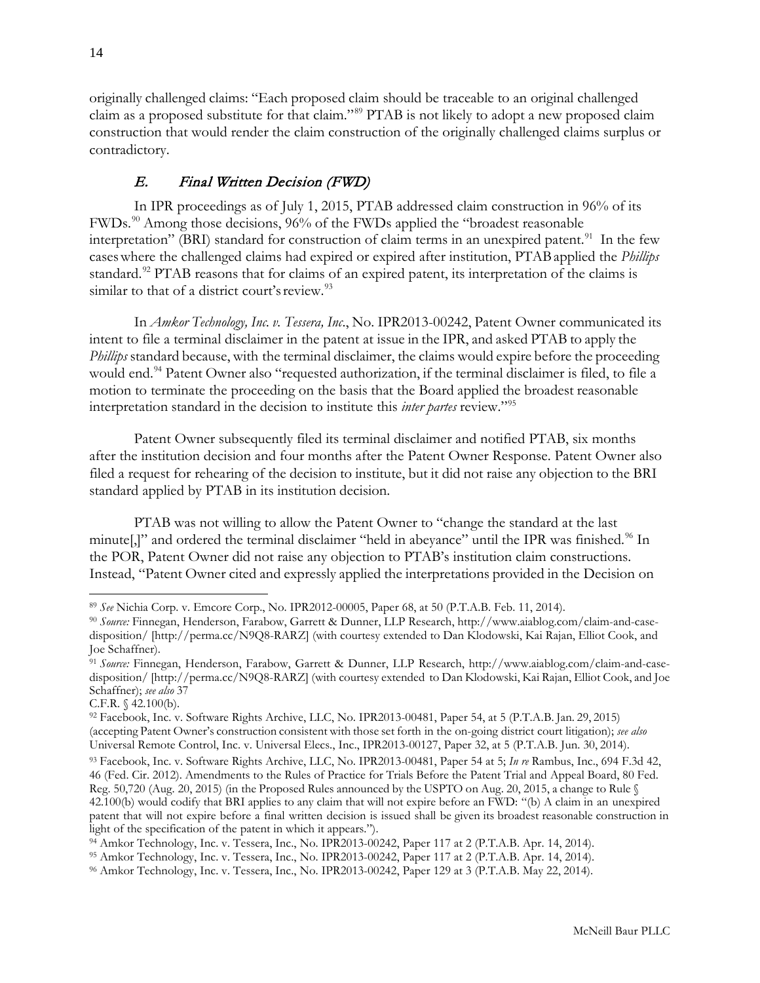originally challenged claims: "Each proposed claim should be traceable to an original challenged claim as a proposed substitute for that claim."[89](#page-13-1) PTAB is not likely to adopt a new proposed claim construction that would render the claim construction of the originally challenged claims surplus or contradictory.

# E. Final Written Decision (FWD)

<span id="page-13-0"></span>In IPR proceedings as of July 1, 2015, PTAB addressed claim construction in 96% of its FWDs.[90](#page-13-2) Among those decisions, 96% of the FWDs applied the "broadest reasonable interpretation" (BRI) standard for construction of claim terms in an unexpired patent.<sup>91</sup> In the few caseswhere the challenged claims had expired or expired after institution, PTABapplied the *Phillips*  standard.<sup>[92](#page-13-4)</sup> PTAB reasons that for claims of an expired patent, its interpretation of the claims is similar to that of a district court's review.<sup>[93](#page-13-5)</sup>

In *Amkor Technology, Inc. v. Tessera, Inc*., No. IPR2013-00242, Patent Owner communicated its intent to file a terminal disclaimer in the patent at issue in the IPR, and asked PTAB to apply the *Phillips* standard because, with the terminal disclaimer, the claims would expire before the proceeding would end.<sup>[94](#page-13-6)</sup> Patent Owner also "requested authorization, if the terminal disclaimer is filed, to file a motion to terminate the proceeding on the basis that the Board applied the broadest reasonable interpretation standard in the decision to institute this *inter partes* review.["95](#page-13-7)

Patent Owner subsequently filed its terminal disclaimer and notified PTAB, six months after the institution decision and four months after the Patent Owner Response. Patent Owner also filed a request for rehearing of the decision to institute, but it did not raise any objection to the BRI standard applied by PTAB in its institution decision.

PTAB was not willing to allow the Patent Owner to "change the standard at the last minute[,]" and ordered the terminal disclaimer "held in abeyance" until the IPR was finished.<sup>[96](#page-13-8)</sup> In the POR, Patent Owner did not raise any objection to PTAB's institution claim constructions. Instead, "Patent Owner cited and expressly applied the interpretations provided in the Decision on

<span id="page-13-1"></span> $\overline{a}$ <sup>89</sup> *See* Nichia Corp. v. Emcore Corp., No. IPR2012-00005, Paper 68, at 50 (P.T.A.B. Feb. 11, 2014).

<span id="page-13-2"></span><sup>90</sup> *Source:* Finnegan, Henderson, Farabow, Garrett & Dunner, LLP Research, [http://www.aiablog.com/claim-and-case](http://www.aiablog.com/claim-and-case-disposition/)[disposition/](http://www.aiablog.com/claim-and-case-disposition/) [\[http://perma.cc/N9Q8-RARZ\]](http://perma.cc/N9Q8-RARZ) (with courtesy extended to Dan Klodowski, Kai Rajan, Elliot Cook, and Joe Schaffner).

<span id="page-13-3"></span><sup>91</sup> *Source:* Finnegan, Henderson, Farabow, Garrett & Dunner, LLP Research, [http://www.aiablog.com/claim-and-case](http://www.aiablog.com/claim-and-case-disposition/)[disposition/](http://www.aiablog.com/claim-and-case-disposition/) [\[http://perma.cc/N9Q8-RARZ\]](http://perma.cc/N9Q8-RARZ) (with courtesy extended to Dan Klodowski, Kai Rajan, Elliot Cook, and Joe Schaffner); *see also* 37

C.F.R. § 42.100(b).

<span id="page-13-4"></span><sup>92</sup> Facebook, Inc. v. Software Rights Archive, LLC, No. IPR2013-00481, Paper 54, at 5 (P.T.A.B. Jan. 29, 2015) (accepting Patent Owner's construction consistent with those set forth in the on-going district court litigation); *see also*  Universal Remote Control, Inc. v. Universal Elecs., Inc., IPR2013-00127, Paper 32, at 5 (P.T.A.B. Jun. 30, 2014).

<span id="page-13-5"></span><sup>93</sup> Facebook, Inc. v. Software Rights Archive, LLC, No. IPR2013-00481, Paper 54 at 5; *In re* Rambus, Inc., 694 F.3d 42, 46 (Fed. Cir. 2012). Amendments to the Rules of Practice for Trials Before the Patent Trial and Appeal Board, 80 Fed. Reg. 50,720 (Aug. 20, 2015) (in the Proposed Rules announced by the USPTO on Aug. 20, 2015, a change to Rule § 42.100(b) would codify that BRI applies to any claim that will not expire before an FWD: "(b) A claim in an unexpired patent that will not expire before a final written decision is issued shall be given its broadest reasonable construction in light of the specification of the patent in which it appears.").

<span id="page-13-6"></span><sup>94</sup> Amkor Technology, Inc. v. Tessera, Inc., No. IPR2013-00242, Paper 117 at 2 (P.T.A.B. Apr. 14, 2014).

<span id="page-13-7"></span><sup>95</sup> Amkor Technology, Inc. v. Tessera, Inc., No. IPR2013-00242, Paper 117 at 2 (P.T.A.B. Apr. 14, 2014).

<span id="page-13-8"></span><sup>96</sup> Amkor Technology, Inc. v. Tessera, Inc., No. IPR2013-00242, Paper 129 at 3 (P.T.A.B. May 22, 2014).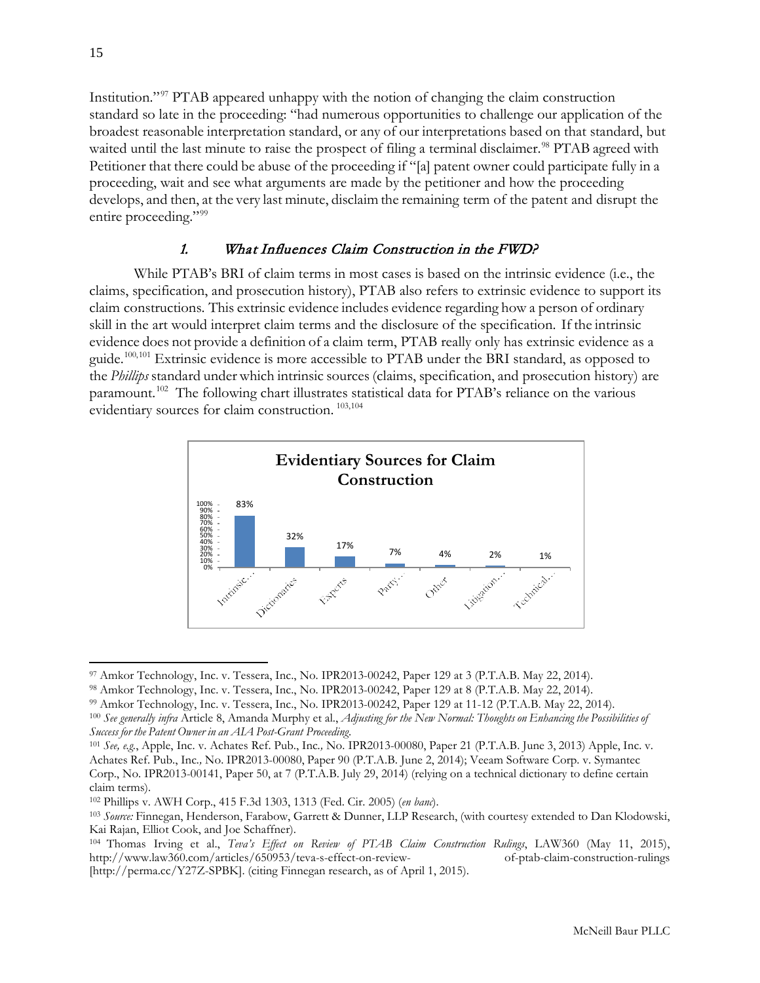Institution."[97](#page-14-1) PTAB appeared unhappy with the notion of changing the claim construction standard so late in the proceeding: "had numerous opportunities to challenge our application of the broadest reasonable interpretation standard, or any of our interpretations based on that standard, but waited until the last minute to raise the prospect of filing a terminal disclaimer.<sup>[98](#page-14-2)</sup> PTAB agreed with Petitioner that there could be abuse of the proceeding if "[a] patent owner could participate fully in a proceeding, wait and see what arguments are made by the petitioner and how the proceeding develops, and then, at the very last minute, disclaim the remaining term of the patent and disrupt the entire proceeding."<sup>[99](#page-14-3)</sup>

# 1. What Influences Claim Construction in the FWD?

<span id="page-14-0"></span>While PTAB's BRI of claim terms in most cases is based on the intrinsic evidence (i.e., the claims, specification, and prosecution history), PTAB also refers to extrinsic evidence to support its claim constructions. This extrinsic evidence includes evidence regarding how a person of ordinary skill in the art would interpret claim terms and the disclosure of the specification. If the intrinsic evidence does not provide a definition of a claim term, PTAB really only has extrinsic evidence as a guide.[100,](#page-14-4)[101](#page-14-5) Extrinsic evidence is more accessible to PTAB under the BRI standard, as opposed to the *Phillips* standard under which intrinsic sources (claims, specification, and prosecution history) are paramount.<sup>[102](#page-14-6)</sup> The following chart illustrates statistical data for PTAB's reliance on the various evidentiary sources for claim construction.  $103,104$  $103,104$ 



<span id="page-14-1"></span><sup>97</sup> Amkor Technology, Inc. v. Tessera, Inc., No. IPR2013-00242, Paper 129 at 3 (P.T.A.B. May 22, 2014).

<span id="page-14-2"></span><sup>98</sup> Amkor Technology, Inc. v. Tessera, Inc., No. IPR2013-00242, Paper 129 at 8 (P.T.A.B. May 22, 2014).

<span id="page-14-3"></span><sup>99</sup> Amkor Technology, Inc. v. Tessera, Inc., No. IPR2013-00242, Paper 129 at 11-12 (P.T.A.B. May 22, 2014).

<span id="page-14-4"></span><sup>100</sup> *See generally infra* Article 8, Amanda Murphy et al., *Adjusting for the New Normal: Thoughts on Enhancing the Possibilities of Success for the Patent Owner in an AIA Post-Grant Proceeding*.

<span id="page-14-5"></span><sup>101</sup> *See, e.g.*, Apple, Inc. v. Achates Ref. Pub., Inc*.,* No. IPR2013-00080, Paper 21 (P.T.A.B. June 3, 2013) Apple, Inc. v. Achates Ref. Pub., Inc*.,* No. IPR2013-00080, Paper 90 (P.T.A.B. June 2, 2014); Veeam Software Corp. v. Symantec Corp., No. IPR2013-00141, Paper 50, at 7 (P.T.A.B. July 29, 2014) (relying on a technical dictionary to define certain claim terms).

<span id="page-14-6"></span><sup>102</sup> Phillips v. AWH Corp., 415 F.3d 1303, 1313 (Fed. Cir. 2005) (*en banc*).

<span id="page-14-7"></span><sup>103</sup> *Source:* Finnegan, Henderson, Farabow, Garrett & Dunner, LLP Research, (with courtesy extended to Dan Klodowski, Kai Rajan, Elliot Cook, and Joe Schaffner).

<span id="page-14-8"></span><sup>104</sup> Thomas Irving et al., *Teva's Effect on Review of PTAB Claim Construction Rulings*, LAW360 (May 11, 2015), [http://www.law360.com/articles/650953/teva-s-effect-on-review-](http://www.law360.com/articles/650953/teva-s-effect-on-review-of-ptab-claim-construction-rulings) [of-ptab-claim-construction-rulings](http://www.law360.com/articles/650953/teva-s-effect-on-review-of-ptab-claim-construction-rulings)  [\[http://perma.cc/Y27Z-SPBK\]](http://perma.cc/Y27Z-SPBK). (citing Finnegan research, as of April 1, 2015).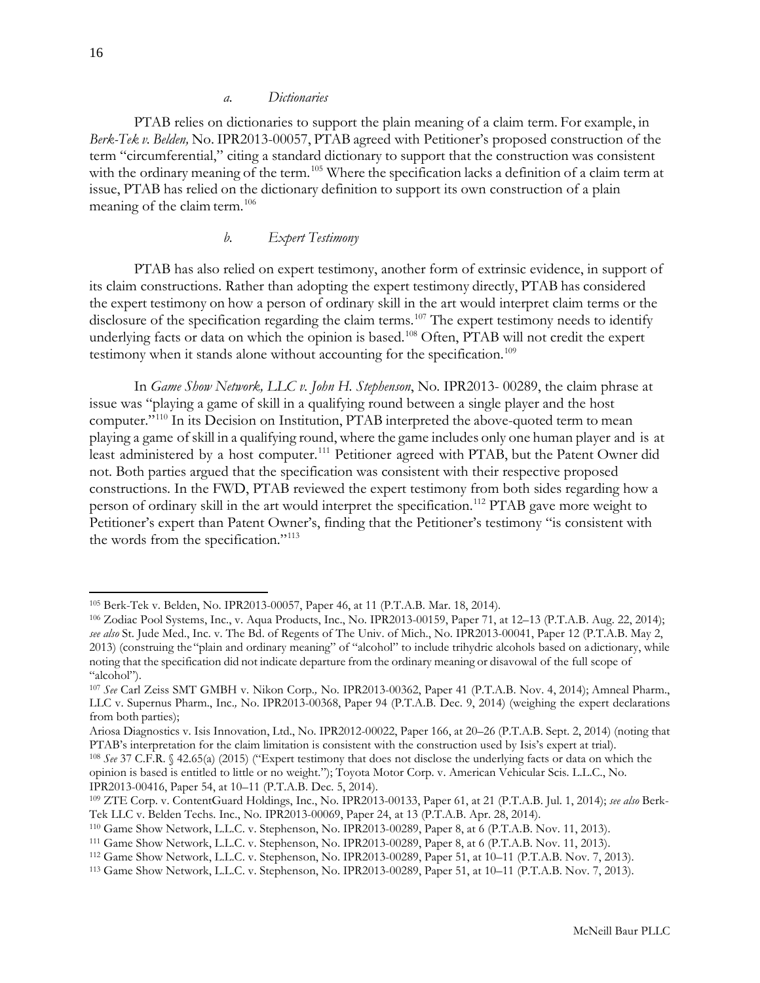#### *a. Dictionaries*

<span id="page-15-0"></span>PTAB relies on dictionaries to support the plain meaning of a claim term. For example, in *Berk-Tek v. Belden,* No. IPR2013-00057, PTAB agreed with Petitioner's proposed construction of the term "circumferential," citing a standard dictionary to support that the construction was consistent with the ordinary meaning of the term.<sup>[105](#page-15-2)</sup> Where the specification lacks a definition of a claim term at issue, PTAB has relied on the dictionary definition to support its own construction of a plain meaning of the claim term.<sup>[106](#page-15-3)</sup>

## *b. Expert Testimony*

<span id="page-15-1"></span>PTAB has also relied on expert testimony, another form of extrinsic evidence, in support of its claim constructions. Rather than adopting the expert testimony directly, PTAB has considered the expert testimony on how a person of ordinary skill in the art would interpret claim terms or the disclosure of the specification regarding the claim terms.<sup>[107](#page-15-4)</sup> The expert testimony needs to identify underlying facts or data on which the opinion is based.<sup>[108](#page-15-5)</sup> Often, PTAB will not credit the expert testimony when it stands alone without accounting for the specification.<sup>[109](#page-15-6)</sup>

In *Game Show Network, LLC v. John H. Stephenson*, No. IPR2013- 00289, the claim phrase at issue was "playing a game of skill in a qualifying round between a single player and the host computer."<sup>[110](#page-15-7)</sup> In its Decision on Institution, PTAB interpreted the above-quoted term to mean playing a game ofskill in a qualifying round, where the game includes only one human player and is at least administered by a host computer.<sup>[111](#page-15-8)</sup> Petitioner agreed with PTAB, but the Patent Owner did not. Both parties argued that the specification was consistent with their respective proposed constructions. In the FWD, PTAB reviewed the expert testimony from both sides regarding how a person of ordinary skill in the art would interpret the specification.<sup>112</sup> PTAB gave more weight to Petitioner's expert than Patent Owner's, finding that the Petitioner's testimony "is consistent with the words from the specification."<sup>[113](#page-15-10)</sup>

<span id="page-15-2"></span><sup>105</sup> Berk-Tek v. Belden, No. IPR2013-00057, Paper 46, at 11 (P.T.A.B. Mar. 18, 2014).

<span id="page-15-3"></span><sup>106</sup> Zodiac Pool Systems, Inc., v. Aqua Products, Inc., No. IPR2013-00159, Paper 71, at 12–13 (P.T.A.B. Aug. 22, 2014); *see also* St. Jude Med., Inc. v. The Bd. of Regents of The Univ. of Mich., No. IPR2013-00041, Paper 12 (P.T.A.B. May 2, 2013) (construing the "plain and ordinary meaning" of "alcohol" to include trihydric alcohols based on adictionary, while noting that the specification did not indicate departure from the ordinary meaning or disavowal of the full scope of "alcohol").

<span id="page-15-4"></span><sup>107</sup> *See* Carl Zeiss SMT GMBH v. Nikon Corp.*,* No. IPR2013-00362, Paper 41 (P.T.A.B. Nov. 4, 2014); Amneal Pharm., LLC v. Supernus Pharm., Inc.*,* No. IPR2013-00368, Paper 94 (P.T.A.B. Dec. 9, 2014) (weighing the expert declarations from both parties);

Ariosa Diagnostics v. Isis Innovation, Ltd., No. IPR2012-00022, Paper 166, at 20–26 (P.T.A.B. Sept. 2, 2014) (noting that PTAB's interpretation for the claim limitation is consistent with the construction used by Isis's expert at trial).

<span id="page-15-5"></span><sup>108</sup> *See* 37 C.F.R. § 42.65(a) (2015) ("Expert testimony that does not disclose the underlying facts or data on which the opinion is based is entitled to little or no weight."); Toyota Motor Corp. v. American Vehicular Scis. L.L.C., No. IPR2013-00416, Paper 54, at 10–11 (P.T.A.B. Dec. 5, 2014).

<span id="page-15-6"></span><sup>109</sup> ZTE Corp. v. ContentGuard Holdings, Inc., No. IPR2013-00133, Paper 61, at 21 (P.T.A.B. Jul. 1, 2014); *see also* Berk-Tek LLC v. Belden Techs. Inc., No. IPR2013-00069, Paper 24, at 13 (P.T.A.B. Apr. 28, 2014).

<span id="page-15-7"></span><sup>110</sup> Game Show Network, L.L.C. v. Stephenson, No. IPR2013-00289, Paper 8, at 6 (P.T.A.B. Nov. 11, 2013).

<span id="page-15-8"></span><sup>111</sup> Game Show Network, L.L.C. v. Stephenson, No. IPR2013-00289, Paper 8, at 6 (P.T.A.B. Nov. 11, 2013).

<span id="page-15-9"></span><sup>112</sup> Game Show Network, L.L.C. v. Stephenson, No. IPR2013-00289, Paper 51, at 10–11 (P.T.A.B. Nov. 7, 2013).

<span id="page-15-10"></span><sup>113</sup> Game Show Network, L.L.C. v. Stephenson, No. IPR2013-00289, Paper 51, at 10–11 (P.T.A.B. Nov. 7, 2013).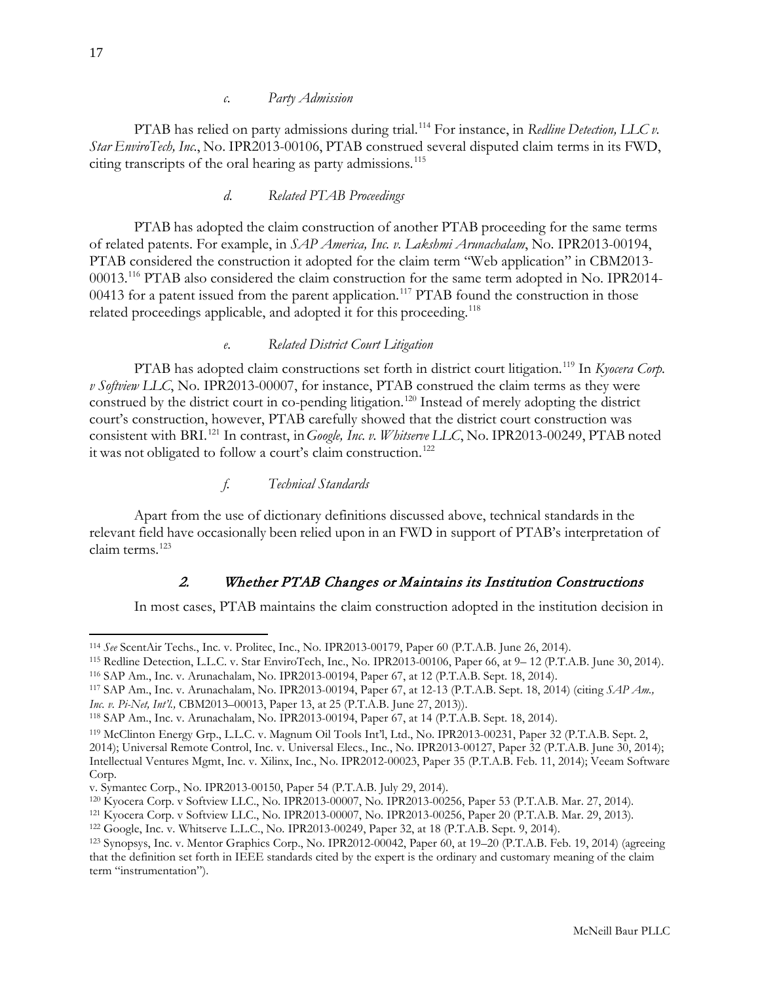<span id="page-16-0"></span>PTAB has relied on party admissions during trial.[114](#page-16-5) For instance, in *Redline Detection, LLC v. Star EnviroTech, Inc*., No. IPR2013-00106, PTAB construed several disputed claim terms in its FWD, citing transcripts of the oral hearing as party admissions.<sup>[115](#page-16-6)</sup>

## *d. Related PTAB Proceedings*

<span id="page-16-1"></span>PTAB has adopted the claim construction of another PTAB proceeding for the same terms of related patents. For example, in *SAP America, Inc. v. Lakshmi Arunachalam*, No. IPR2013-00194, PTAB considered the construction it adopted for the claim term "Web application" in CBM2013- 00013.[116](#page-16-7) PTAB also considered the claim construction for the same term adopted in No. IPR2014- 00413 for a patent issued from the parent application.<sup>[117](#page-16-8)</sup> PTAB found the construction in those related proceedings applicable, and adopted it for this proceeding.<sup>[118](#page-16-9)</sup>

#### *e. Related District Court Litigation*

<span id="page-16-2"></span>PTAB has adopted claim constructions set forth in district court litigation.<sup>[119](#page-16-10)</sup> In *Kyocera Corp*. *v Softview LLC*, No. IPR2013-00007, for instance, PTAB construed the claim terms as they were construed by the district court in co-pending litigation.<sup>[120](#page-16-11)</sup> Instead of merely adopting the district court's construction, however, PTAB carefully showed that the district court construction was consistent with BRI.[121](#page-16-12) In contrast, in*Google, Inc. v. Whitserve LLC*, No. IPR2013-00249, PTAB noted it was not obligated to follow a court's claim construction.<sup>[122](#page-16-13)</sup>

## *f. Technical Standards*

<span id="page-16-3"></span>Apart from the use of dictionary definitions discussed above, technical standards in the relevant field have occasionally been relied upon in an FWD in support of PTAB's interpretation of claim terms.[123](#page-16-14)

# 2. Whether PTAB Changes or Maintains its Institution Constructions

<span id="page-16-4"></span>In most cases, PTAB maintains the claim construction adopted in the institution decision in

<span id="page-16-5"></span><sup>114</sup> *See* ScentAir Techs., Inc. v. Prolitec, Inc., No. IPR2013-00179, Paper 60 (P.T.A.B. June 26, 2014).

<span id="page-16-6"></span><sup>115</sup> Redline Detection, L.L.C. v. Star EnviroTech, Inc., No. IPR2013-00106, Paper 66, at 9– 12 (P.T.A.B. June 30, 2014). <sup>116</sup> SAP Am., Inc. v. Arunachalam, No. IPR2013-00194, Paper 67, at 12 (P.T.A.B. Sept. 18, 2014).

<span id="page-16-8"></span><span id="page-16-7"></span><sup>117</sup> SAP Am., Inc. v. Arunachalam, No. IPR2013-00194, Paper 67, at 12-13 (P.T.A.B. Sept. 18, 2014) (citing *SAP Am., Inc. v. Pi-Net, Int'l.,* CBM2013–00013, Paper 13, at 25 (P.T.A.B. June 27, 2013)).

<span id="page-16-9"></span><sup>118</sup> SAP Am., Inc. v. Arunachalam, No. IPR2013-00194, Paper 67, at 14 (P.T.A.B. Sept. 18, 2014).

<span id="page-16-10"></span><sup>119</sup> McClinton Energy Grp., L.L.C. v. Magnum Oil Tools Int'l, Ltd., No. IPR2013-00231, Paper 32 (P.T.A.B. Sept. 2, 2014); Universal Remote Control, Inc. v. Universal Elecs., Inc., No. IPR2013-00127, Paper 32 (P.T.A.B. June 30, 2014); Intellectual Ventures Mgmt, Inc. v. Xilinx, Inc., No. IPR2012-00023, Paper 35 (P.T.A.B. Feb. 11, 2014); Veeam Software Corp.

v. Symantec Corp., No. IPR2013-00150, Paper 54 (P.T.A.B. July 29, 2014).

<span id="page-16-11"></span><sup>120</sup> Kyocera Corp. v Softview LLC., No. IPR2013-00007, No. IPR2013-00256, Paper 53 (P.T.A.B. Mar. 27, 2014).

<span id="page-16-12"></span><sup>121</sup> Kyocera Corp. v Softview LLC., No. IPR2013-00007, No. IPR2013-00256, Paper 20 (P.T.A.B. Mar. 29, 2013).

<span id="page-16-13"></span><sup>122</sup> Google, Inc. v. Whitserve L.L.C., No. IPR2013-00249, Paper 32, at 18 (P.T.A.B. Sept. 9, 2014).

<span id="page-16-14"></span><sup>123</sup> Synopsys, Inc. v. Mentor Graphics Corp., No. IPR2012-00042, Paper 60, at 19–20 (P.T.A.B. Feb. 19, 2014) (agreeing that the definition set forth in IEEE standards cited by the expert is the ordinary and customary meaning of the claim term "instrumentation").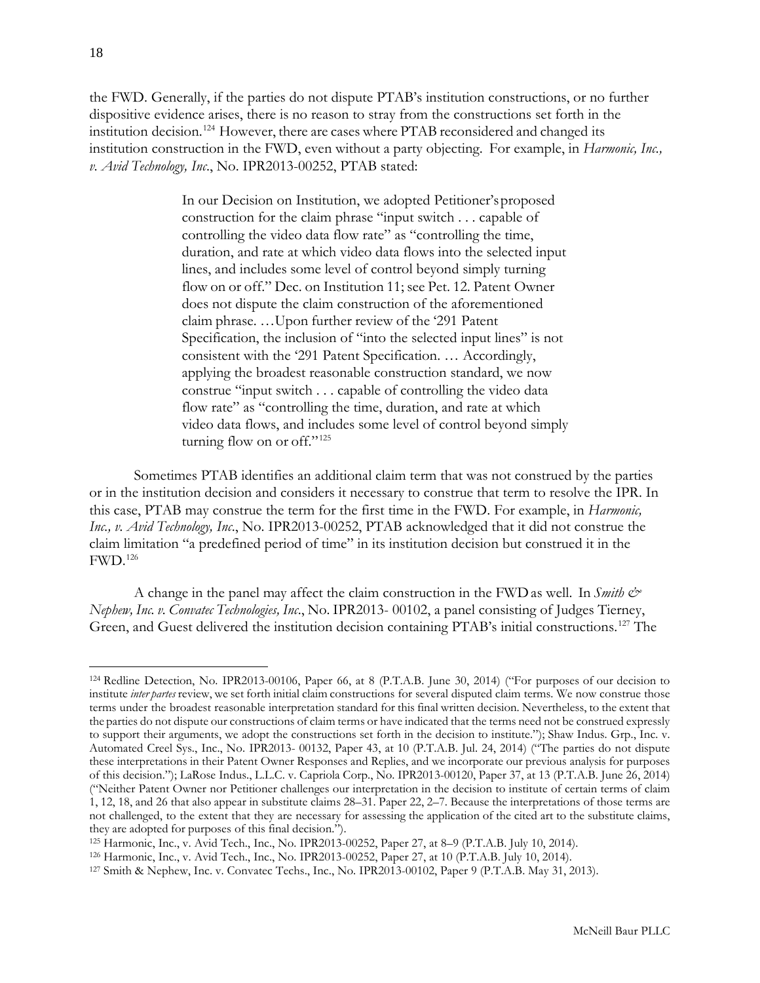the FWD. Generally, if the parties do not dispute PTAB's institution constructions, or no further dispositive evidence arises, there is no reason to stray from the constructions set forth in the institution decision.[124](#page-17-0) However, there are cases where PTAB reconsidered and changed its institution construction in the FWD, even without a party objecting. For example, in *Harmonic, Inc., v. Avid Technology, Inc*., No. IPR2013-00252, PTAB stated:

> In our Decision on Institution, we adopted Petitioner'sproposed construction for the claim phrase "input switch . . . capable of controlling the video data flow rate" as "controlling the time, duration, and rate at which video data flows into the selected input lines, and includes some level of control beyond simply turning flow on or off." Dec. on Institution 11; see Pet. 12. Patent Owner does not dispute the claim construction of the aforementioned claim phrase. …Upon further review of the '291 Patent Specification, the inclusion of "into the selected input lines" is not consistent with the '291 Patent Specification. … Accordingly, applying the broadest reasonable construction standard, we now construe "input switch . . . capable of controlling the video data flow rate" as "controlling the time, duration, and rate at which video data flows, and includes some level of control beyond simply turning flow on or off." $125$

Sometimes PTAB identifies an additional claim term that was not construed by the parties or in the institution decision and considers it necessary to construe that term to resolve the IPR. In this case, PTAB may construe the term for the first time in the FWD. For example, in *Harmonic, Inc., v. Avid Technology, Inc*., No. IPR2013-00252, PTAB acknowledged that it did not construe the claim limitation "a predefined period of time" in its institution decision but construed it in the FWD.[126](#page-17-2)

A change in the panel may affect the claim construction in the FWDas well. In *Smith & Nephew, Inc. v. Convatec Technologies, Inc*., No. IPR2013- 00102, a panel consisting of Judges Tierney, Green, and Guest delivered the institution decision containing PTAB's initial constructions.[127](#page-17-3) The

<span id="page-17-0"></span><sup>124</sup> Redline Detection, No. IPR2013-00106, Paper 66, at 8 (P.T.A.B. June 30, 2014) ("For purposes of our decision to institute *inter partes* review, we set forth initial claim constructions for several disputed claim terms. We now construe those terms under the broadest reasonable interpretation standard for this final written decision. Nevertheless, to the extent that the parties do not dispute our constructions of claim terms or have indicated that the terms need not be construed expressly to support their arguments, we adopt the constructions set forth in the decision to institute."); Shaw Indus. Grp., Inc. v. Automated Creel Sys., Inc., No. IPR2013- 00132, Paper 43, at 10 (P.T.A.B. Jul. 24, 2014) ("The parties do not dispute these interpretations in their Patent Owner Responses and Replies, and we incorporate our previous analysis for purposes of this decision."); LaRose Indus., L.L.C. v. Capriola Corp., No. IPR2013-00120, Paper 37, at 13 (P.T.A.B. June 26, 2014) ("Neither Patent Owner nor Petitioner challenges our interpretation in the decision to institute of certain terms of claim 1, 12, 18, and 26 that also appear in substitute claims 28–31. Paper 22, 2–7. Because the interpretations of those terms are not challenged, to the extent that they are necessary for assessing the application of the cited art to the substitute claims, they are adopted for purposes of this final decision.").

<span id="page-17-1"></span><sup>125</sup> Harmonic, Inc., v. Avid Tech., Inc., No. IPR2013-00252, Paper 27, at 8–9 (P.T.A.B. July 10, 2014).

<span id="page-17-2"></span><sup>126</sup> Harmonic, Inc., v. Avid Tech., Inc., No. IPR2013-00252, Paper 27, at 10 (P.T.A.B. July 10, 2014).

<span id="page-17-3"></span><sup>127</sup> Smith & Nephew, Inc. v. Convatec Techs., Inc., No. IPR2013-00102, Paper 9 (P.T.A.B. May 31, 2013).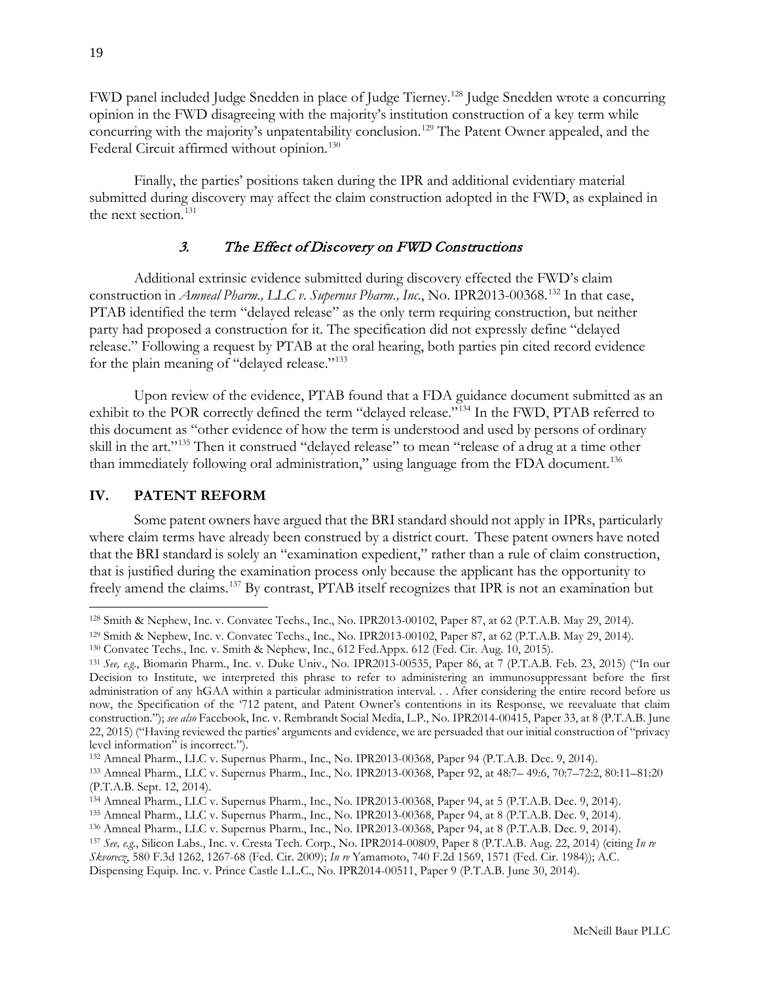FWD panel included Judge Snedden in place of Judge Tierney.[128](#page-18-2) Judge Snedden wrote a concurring opinion in the FWD disagreeing with the majority's institution construction of a key term while concurring with the majority's unpatentability conclusion.<sup>[129](#page-18-3)</sup> The Patent Owner appealed, and the Federal Circuit affirmed without opinion.<sup>[130](#page-18-4)</sup>

Finally, the parties' positions taken during the IPR and additional evidentiary material submitted during discovery may affect the claim construction adopted in the FWD, as explained in the next section.<sup>[131](#page-18-5)</sup>

## 3. The Effect of Discovery on FWD Constructions

<span id="page-18-0"></span>Additional extrinsic evidence submitted during discovery effected the FWD's claim construction in *Amneal Pharm., LLC v. Supernus Pharm., Inc*., No. IPR2013-00368.[132](#page-18-6) In that case, PTAB identified the term "delayed release" as the only term requiring construction, but neither party had proposed a construction for it. The specification did not expressly define "delayed release." Following a request by PTAB at the oral hearing, both parties pin cited record evidence for the plain meaning of "delayed release."<sup>[133](#page-18-7)</sup>

Upon review of the evidence, PTAB found that a FDA guidance document submitted as an exhibit to the POR correctly defined the term "delayed release."<sup>[134](#page-18-8)</sup> In the FWD, PTAB referred to this document as "other evidence of how the term is understood and used by persons of ordinary skill in the art."<sup>[135](#page-18-9)</sup> Then it construed "delayed release" to mean "release of a drug at a time other than immediately following oral administration," using language from the FDA document.<sup>[136](#page-18-10)</sup>

#### <span id="page-18-1"></span>**IV. PATENT REFORM**

 $\overline{a}$ 

Some patent owners have argued that the BRI standard should not apply in IPRs, particularly where claim terms have already been construed by a district court. These patent owners have noted that the BRI standard is solely an "examination expedient," rather than a rule of claim construction, that is justified during the examination process only because the applicant has the opportunity to freely amend the claims.[137](#page-18-11) By contrast, PTAB itself recognizes that IPR is not an examination but

<span id="page-18-2"></span><sup>128</sup> Smith & Nephew, Inc. v. Convatec Techs., Inc., No. IPR2013-00102, Paper 87, at 62 (P.T.A.B. May 29, 2014).

<span id="page-18-3"></span><sup>129</sup> Smith & Nephew, Inc. v. Convatec Techs., Inc., No. IPR2013-00102, Paper 87, at 62 (P.T.A.B. May 29, 2014).

<span id="page-18-4"></span><sup>130</sup> Convatec Techs., Inc. v. Smith & Nephew, Inc., 612 Fed.Appx. 612 (Fed. Cir. Aug. 10, 2015).

<span id="page-18-5"></span><sup>131</sup> *See, e.g*., Biomarin Pharm., Inc. v. Duke Univ., No. IPR2013-00535, Paper 86, at 7 (P.T.A.B. Feb. 23, 2015) ("In our Decision to Institute, we interpreted this phrase to refer to administering an immunosuppressant before the first administration of any hGAA within a particular administration interval. . . After considering the entire record before us now, the Specification of the '712 patent, and Patent Owner's contentions in its Response, we reevaluate that claim construction."); *see also* Facebook, Inc. v. Rembrandt Social Media, L.P*.*, No. IPR2014-00415, Paper 33, at 8 (P.T.A.B. June 22, 2015) ("Having reviewed the parties' arguments and evidence, we are persuaded that our initial construction of "privacy level information" is incorrect.").

<span id="page-18-6"></span><sup>132</sup> Amneal Pharm., LLC v. Supernus Pharm., Inc., No. IPR2013-00368, Paper 94 (P.T.A.B. Dec. 9, 2014).

<span id="page-18-7"></span><sup>133</sup> Amneal Pharm., LLC v. Supernus Pharm., Inc., No. IPR2013-00368, Paper 92, at 48:7– 49:6, 70:7–72:2, 80:11–81:20 (P.T.A.B. Sept. 12, 2014).

<span id="page-18-8"></span><sup>134</sup> Amneal Pharm., LLC v. Supernus Pharm., Inc., No. IPR2013-00368, Paper 94, at 5 (P.T.A.B. Dec. 9, 2014).

<span id="page-18-9"></span><sup>135</sup> Amneal Pharm., LLC v. Supernus Pharm., Inc., No. IPR2013-00368, Paper 94, at 8 (P.T.A.B. Dec. 9, 2014).

<span id="page-18-10"></span><sup>136</sup> Amneal Pharm., LLC v. Supernus Pharm., Inc., No. IPR2013-00368, Paper 94, at 8 (P.T.A.B. Dec. 9, 2014).

<span id="page-18-11"></span><sup>137</sup> *See, e.g.*, Silicon Labs., Inc. v. Cresta Tech. Corp., No. IPR2014-00809, Paper 8 (P.T.A.B. Aug. 22, 2014) (citing *In re* 

*Skvorecz*, 580 F.3d 1262, 1267-68 (Fed. Cir. 2009); *In re* Yamamoto, 740 F.2d 1569, 1571 (Fed. Cir. 1984)); A.C. Dispensing Equip. Inc. v. Prince Castle L.L.C., No. IPR2014-00511, Paper 9 (P.T.A.B. June 30, 2014).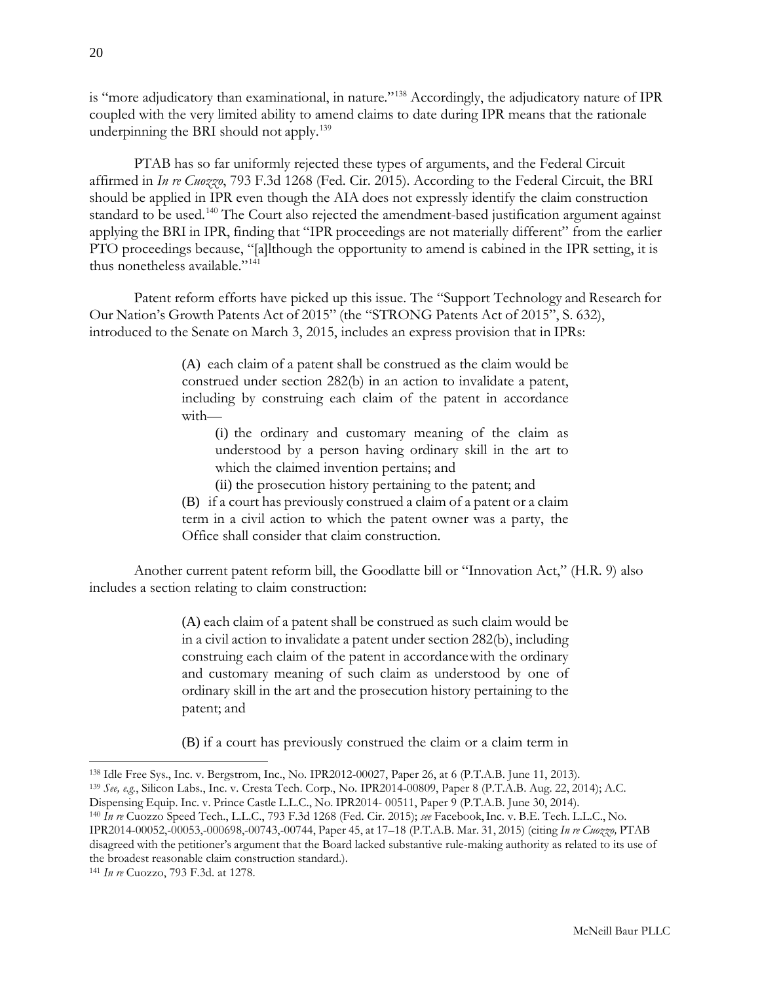is "more adjudicatory than examinational, in nature."<sup>[138](#page-19-0)</sup> Accordingly, the adjudicatory nature of IPR coupled with the very limited ability to amend claims to date during IPR means that the rationale underpinning the BRI should not apply.<sup>139</sup>

PTAB has so far uniformly rejected these types of arguments, and the Federal Circuit affirmed in *In re Cuozzo*, 793 F.3d 1268 (Fed. Cir. 2015). According to the Federal Circuit, the BRI should be applied in IPR even though the AIA does not expressly identify the claim construction standard to be used.<sup>[140](#page-19-2)</sup> The Court also rejected the amendment-based justification argument against applying the BRI in IPR, finding that "IPR proceedings are not materially different" from the earlier PTO proceedings because, "[a]lthough the opportunity to amend is cabined in the IPR setting, it is thus nonetheless available."[141](#page-19-3)

Patent reform efforts have picked up this issue. The "Support Technology and Research for Our Nation's Growth Patents Act of 2015" (the "STRONG Patents Act of 2015", S. 632), introduced to the Senate on March 3, 2015, includes an express provision that in IPRs:

> (A) each claim of a patent shall be construed as the claim would be construed under section 282(b) in an action to invalidate a patent, including by construing each claim of the patent in accordance with—

(i) the ordinary and customary meaning of the claim as understood by a person having ordinary skill in the art to which the claimed invention pertains; and

(ii) the prosecution history pertaining to the patent; and

(B) if a court has previously construed a claim of a patent or a claim term in a civil action to which the patent owner was a party, the Office shall consider that claim construction.

Another current patent reform bill, the Goodlatte bill or "Innovation Act," (H.R. 9) also includes a section relating to claim construction:

> (A) each claim of a patent shall be construed as such claim would be in a civil action to invalidate a patent under section 282(b), including construing each claim of the patent in accordancewith the ordinary and customary meaning of such claim as understood by one of ordinary skill in the art and the prosecution history pertaining to the patent; and

> (B) if a court has previously construed the claim or a claim term in

<span id="page-19-0"></span><sup>138</sup> Idle Free Sys., Inc. v. Bergstrom, Inc., No. IPR2012-00027, Paper 26, at 6 (P.T.A.B. June 11, 2013).

<span id="page-19-1"></span><sup>139</sup> *See, e.g.*, Silicon Labs., Inc. v. Cresta Tech. Corp., No. IPR2014-00809, Paper 8 (P.T.A.B. Aug. 22, 2014); A.C. Dispensing Equip. Inc. v. Prince Castle L.L.C., No. IPR2014- 00511, Paper 9 (P.T.A.B. June 30, 2014).

<span id="page-19-2"></span><sup>140</sup> *In re* Cuozzo Speed Tech., L.L.C., 793 F.3d 1268 (Fed. Cir. 2015); *see* Facebook,Inc. v. B.E. Tech. L.L.C., No. IPR2014-00052,-00053,-000698,-00743,-00744, Paper 45, at 17–18 (P.T.A.B. Mar. 31, 2015) (citing *In re Cuozzo,* PTAB disagreed with the petitioner's argument that the Board lacked substantive rule-making authority as related to its use of the broadest reasonable claim construction standard.).

<span id="page-19-3"></span><sup>141</sup> *In re* Cuozzo, 793 F.3d. at 1278.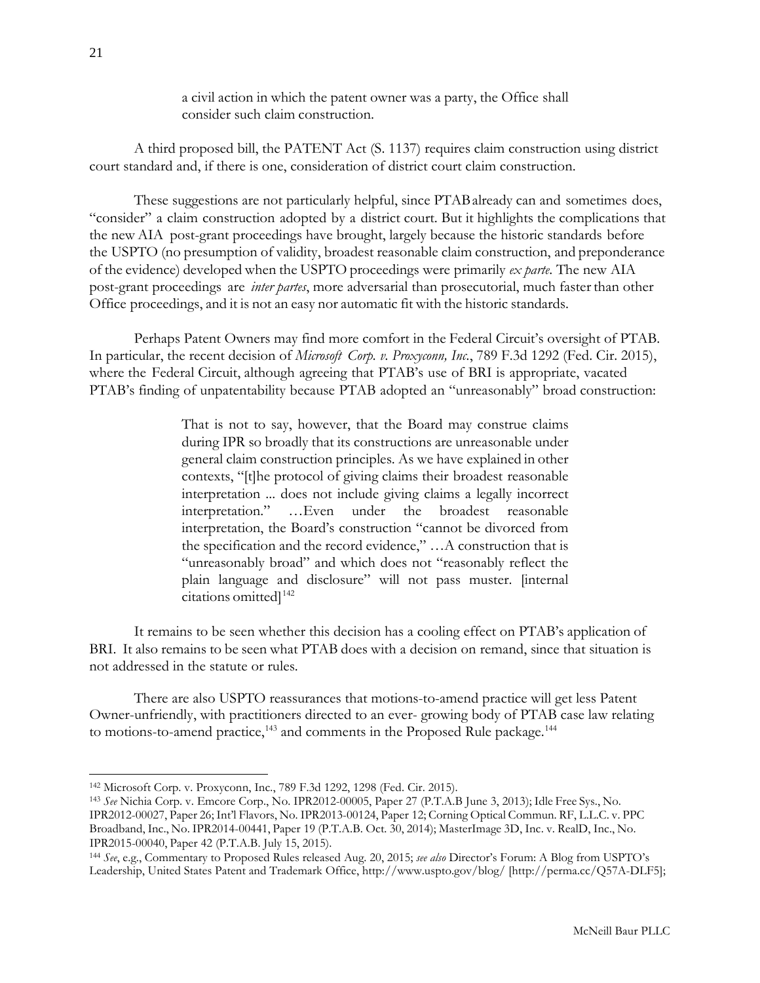a civil action in which the patent owner was a party, the Office shall consider such claim construction.

A third proposed bill, the PATENT Act (S. 1137) requires claim construction using district court standard and, if there is one, consideration of district court claim construction.

These suggestions are not particularly helpful, since PTABalready can and sometimes does, "consider" a claim construction adopted by a district court. But it highlights the complications that the new AIA post-grant proceedings have brought, largely because the historic standards before the USPTO (no presumption of validity, broadest reasonable claim construction, and preponderance of the evidence) developed when the USPTO proceedings were primarily *ex parte*. The new AIA post-grant proceedings are *inter partes*, more adversarial than prosecutorial, much faster than other Office proceedings, and it is not an easy nor automatic fit with the historic standards.

Perhaps Patent Owners may find more comfort in the Federal Circuit's oversight of PTAB. In particular, the recent decision of *Microsoft Corp. v. Proxyconn, Inc.*, 789 F.3d 1292 (Fed. Cir. 2015), where the Federal Circuit, although agreeing that PTAB's use of BRI is appropriate, vacated PTAB's finding of unpatentability because PTAB adopted an "unreasonably" broad construction:

> That is not to say, however, that the Board may construe claims during IPR so broadly that its constructions are unreasonable under general claim construction principles. As we have explained in other contexts, "[t]he protocol of giving claims their broadest reasonable interpretation ... does not include giving claims a legally incorrect interpretation." …Even under the broadest reasonable interpretation, the Board's construction "cannot be divorced from the specification and the record evidence," …A construction that is "unreasonably broad" and which does not "reasonably reflect the plain language and disclosure" will not pass muster. [internal citations omitted]<sup>[142](#page-20-0)</sup>

It remains to be seen whether this decision has a cooling effect on PTAB's application of BRI. It also remains to be seen what PTAB does with a decision on remand, since that situation is not addressed in the statute or rules.

There are also USPTO reassurances that motions-to-amend practice will get less Patent Owner-unfriendly, with practitioners directed to an ever- growing body of PTAB case law relating to motions-to-amend practice, $143$  and comments in the Proposed Rule package. $144$ 

<span id="page-20-0"></span><sup>142</sup> Microsoft Corp. v. Proxyconn, Inc*.*, 789 F.3d 1292, 1298 (Fed. Cir. 2015).

<span id="page-20-1"></span><sup>143</sup> *See* Nichia Corp. v. Emcore Corp., No. IPR2012-00005, Paper 27 (P.T.A.B June 3, 2013); Idle Free Sys., No. IPR2012-00027, Paper 26; Int'l Flavors, No. IPR2013-00124, Paper 12; Corning Optical Commun. RF, L.L.C. v. PPC Broadband, Inc., No. IPR2014-00441, Paper 19 (P.T.A.B. Oct. 30, 2014); MasterImage 3D, Inc. v. RealD, Inc., No. IPR2015-00040, Paper 42 (P.T.A.B. July 15, 2015).

<span id="page-20-2"></span><sup>144</sup> *See*, e.g., Commentary to Proposed Rules released Aug. 20, 2015; *see also* Director's Forum: A Blog from USPTO's Leadership, United States Patent and Trademark Office, <http://www.uspto.gov/blog/> [\[http://perma.cc/Q57A-DLF5\]](http://perma.cc/Q57A-DLF5);